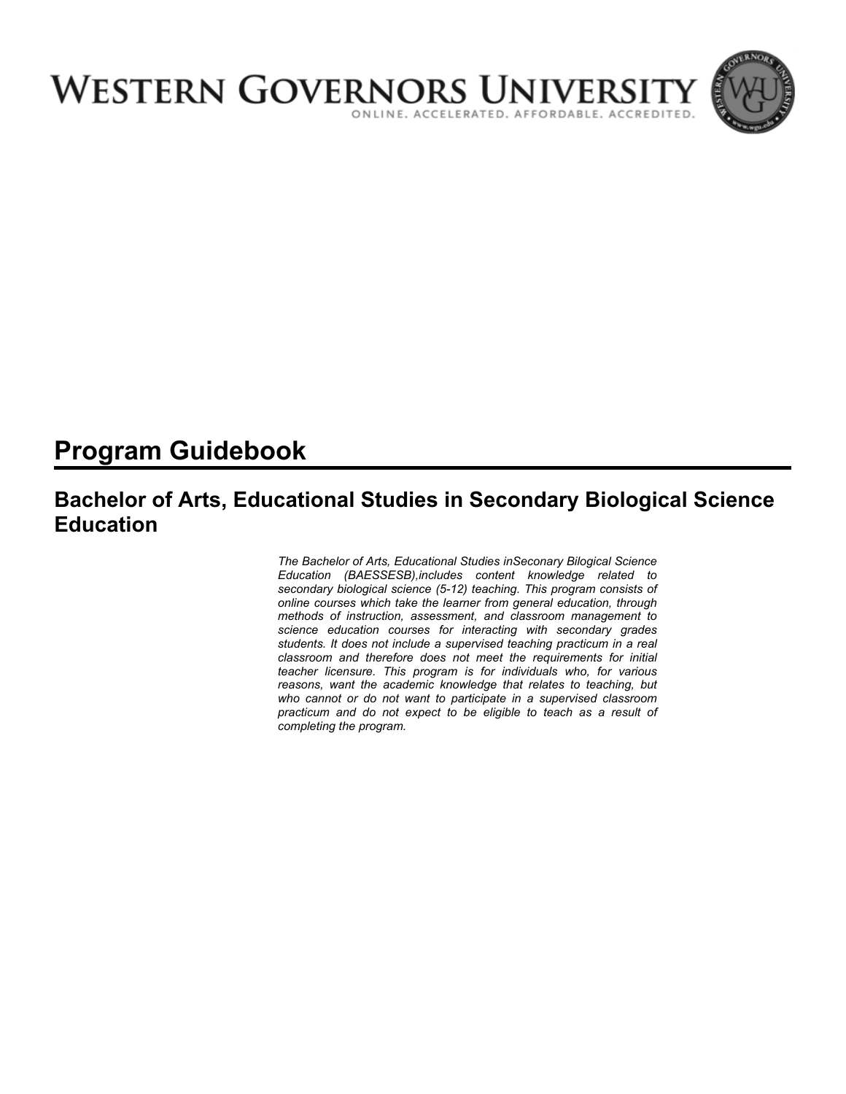

# **Program Guidebook**

## **Bachelor of Arts, Educational Studies in Secondary Biological Science Education**

*The Bachelor of Arts, Educational Studies inSeconary Bilogical Science Education (BAESSESB),includes content knowledge related to secondary biological science (5-12) teaching. This program consists of online courses which take the learner from general education, through methods of instruction, assessment, and classroom management to science education courses for interacting with secondary grades students. It does not include a supervised teaching practicum in a real classroom and therefore does not meet the requirements for initial teacher licensure. This program is for individuals who, for various reasons, want the academic knowledge that relates to teaching, but who cannot or do not want to participate in a supervised classroom practicum and do not expect to be eligible to teach as a result of completing the program.*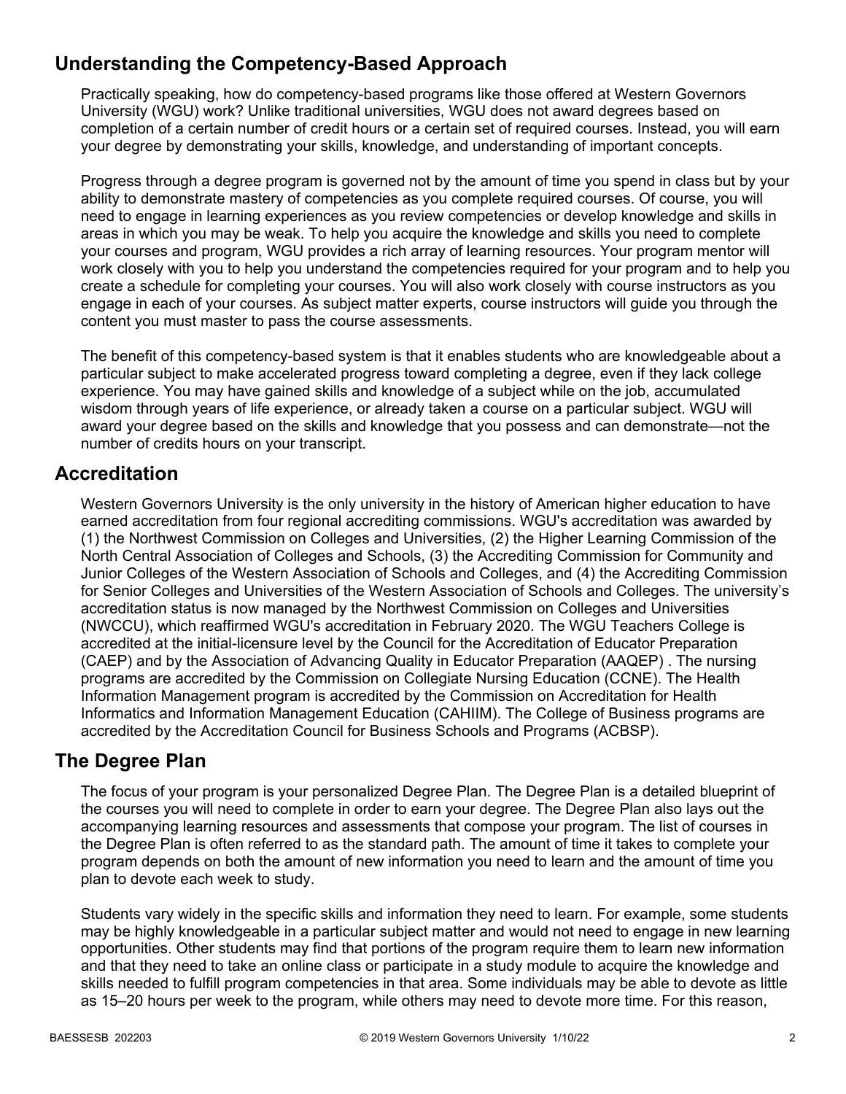## **Understanding the Competency-Based Approach**

Practically speaking, how do competency-based programs like those offered at Western Governors University (WGU) work? Unlike traditional universities, WGU does not award degrees based on completion of a certain number of credit hours or a certain set of required courses. Instead, you will earn your degree by demonstrating your skills, knowledge, and understanding of important concepts.

Progress through a degree program is governed not by the amount of time you spend in class but by your ability to demonstrate mastery of competencies as you complete required courses. Of course, you will need to engage in learning experiences as you review competencies or develop knowledge and skills in areas in which you may be weak. To help you acquire the knowledge and skills you need to complete your courses and program, WGU provides a rich array of learning resources. Your program mentor will work closely with you to help you understand the competencies required for your program and to help you create a schedule for completing your courses. You will also work closely with course instructors as you engage in each of your courses. As subject matter experts, course instructors will guide you through the content you must master to pass the course assessments.

The benefit of this competency-based system is that it enables students who are knowledgeable about a particular subject to make accelerated progress toward completing a degree, even if they lack college experience. You may have gained skills and knowledge of a subject while on the job, accumulated wisdom through years of life experience, or already taken a course on a particular subject. WGU will award your degree based on the skills and knowledge that you possess and can demonstrate—not the number of credits hours on your transcript.

### **Accreditation**

Western Governors University is the only university in the history of American higher education to have earned accreditation from four regional accrediting commissions. WGU's accreditation was awarded by (1) the Northwest Commission on Colleges and Universities, (2) the Higher Learning Commission of the North Central Association of Colleges and Schools, (3) the Accrediting Commission for Community and Junior Colleges of the Western Association of Schools and Colleges, and (4) the Accrediting Commission for Senior Colleges and Universities of the Western Association of Schools and Colleges. The university's accreditation status is now managed by the Northwest Commission on Colleges and Universities (NWCCU), which reaffirmed WGU's accreditation in February 2020. The WGU Teachers College is accredited at the initial-licensure level by the Council for the Accreditation of Educator Preparation (CAEP) and by the Association of Advancing Quality in Educator Preparation (AAQEP) . The nursing programs are accredited by the Commission on Collegiate Nursing Education (CCNE). The Health Information Management program is accredited by the Commission on Accreditation for Health Informatics and Information Management Education (CAHIIM). The College of Business programs are accredited by the Accreditation Council for Business Schools and Programs (ACBSP).

### **The Degree Plan**

The focus of your program is your personalized Degree Plan. The Degree Plan is a detailed blueprint of the courses you will need to complete in order to earn your degree. The Degree Plan also lays out the accompanying learning resources and assessments that compose your program. The list of courses in the Degree Plan is often referred to as the standard path. The amount of time it takes to complete your program depends on both the amount of new information you need to learn and the amount of time you plan to devote each week to study.

Students vary widely in the specific skills and information they need to learn. For example, some students may be highly knowledgeable in a particular subject matter and would not need to engage in new learning opportunities. Other students may find that portions of the program require them to learn new information and that they need to take an online class or participate in a study module to acquire the knowledge and skills needed to fulfill program competencies in that area. Some individuals may be able to devote as little as 15–20 hours per week to the program, while others may need to devote more time. For this reason,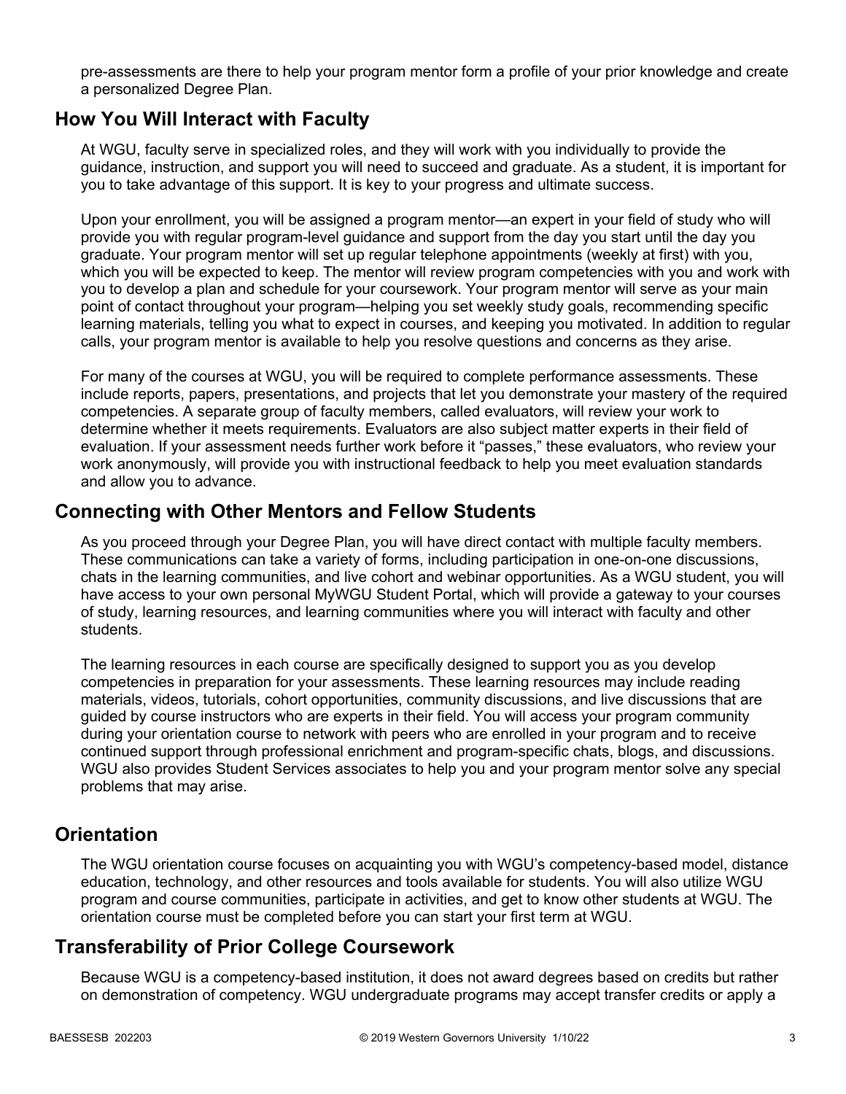pre-assessments are there to help your program mentor form a profile of your prior knowledge and create a personalized Degree Plan.

### **How You Will Interact with Faculty**

At WGU, faculty serve in specialized roles, and they will work with you individually to provide the guidance, instruction, and support you will need to succeed and graduate. As a student, it is important for you to take advantage of this support. It is key to your progress and ultimate success.

Upon your enrollment, you will be assigned a program mentor—an expert in your field of study who will provide you with regular program-level guidance and support from the day you start until the day you graduate. Your program mentor will set up regular telephone appointments (weekly at first) with you, which you will be expected to keep. The mentor will review program competencies with you and work with you to develop a plan and schedule for your coursework. Your program mentor will serve as your main point of contact throughout your program—helping you set weekly study goals, recommending specific learning materials, telling you what to expect in courses, and keeping you motivated. In addition to regular calls, your program mentor is available to help you resolve questions and concerns as they arise.

For many of the courses at WGU, you will be required to complete performance assessments. These include reports, papers, presentations, and projects that let you demonstrate your mastery of the required competencies. A separate group of faculty members, called evaluators, will review your work to determine whether it meets requirements. Evaluators are also subject matter experts in their field of evaluation. If your assessment needs further work before it "passes," these evaluators, who review your work anonymously, will provide you with instructional feedback to help you meet evaluation standards and allow you to advance.

### **Connecting with Other Mentors and Fellow Students**

As you proceed through your Degree Plan, you will have direct contact with multiple faculty members. These communications can take a variety of forms, including participation in one-on-one discussions, chats in the learning communities, and live cohort and webinar opportunities. As a WGU student, you will have access to your own personal MyWGU Student Portal, which will provide a gateway to your courses of study, learning resources, and learning communities where you will interact with faculty and other students.

The learning resources in each course are specifically designed to support you as you develop competencies in preparation for your assessments. These learning resources may include reading materials, videos, tutorials, cohort opportunities, community discussions, and live discussions that are guided by course instructors who are experts in their field. You will access your program community during your orientation course to network with peers who are enrolled in your program and to receive continued support through professional enrichment and program-specific chats, blogs, and discussions. WGU also provides Student Services associates to help you and your program mentor solve any special problems that may arise.

### **Orientation**

The WGU orientation course focuses on acquainting you with WGU's competency-based model, distance education, technology, and other resources and tools available for students. You will also utilize WGU program and course communities, participate in activities, and get to know other students at WGU. The orientation course must be completed before you can start your first term at WGU.

### **Transferability of Prior College Coursework**

Because WGU is a competency-based institution, it does not award degrees based on credits but rather on demonstration of competency. WGU undergraduate programs may accept transfer credits or apply a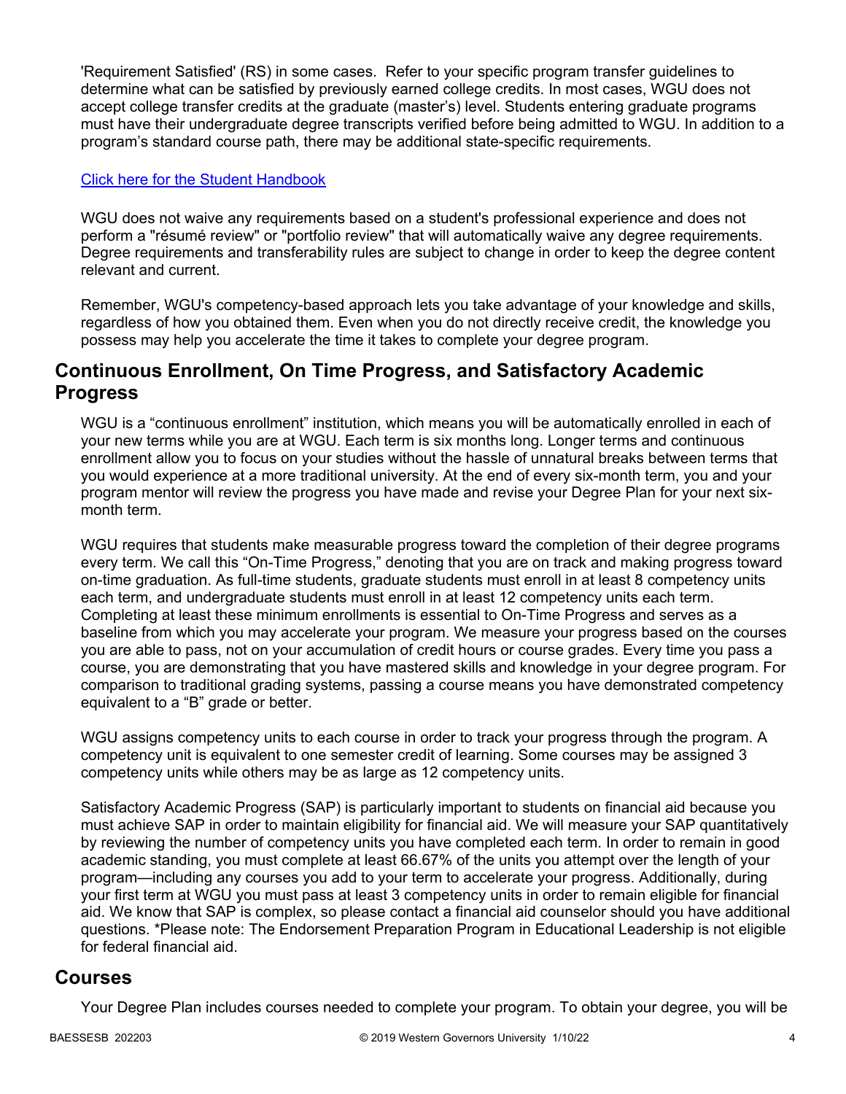'Requirement Satisfied' (RS) in some cases. Refer to your specific program transfer guidelines to determine what can be satisfied by previously earned college credits. In most cases, WGU does not accept college transfer credits at the graduate (master's) level. Students entering graduate programs must have their undergraduate degree transcripts verified before being admitted to WGU. In addition to a program's standard course path, there may be additional state-specific requirements.

### [Click here for the Student Handbook](http://cm.wgu.edu/)

WGU does not waive any requirements based on a student's professional experience and does not perform a "résumé review" or "portfolio review" that will automatically waive any degree requirements. Degree requirements and transferability rules are subject to change in order to keep the degree content relevant and current.

Remember, WGU's competency-based approach lets you take advantage of your knowledge and skills, regardless of how you obtained them. Even when you do not directly receive credit, the knowledge you possess may help you accelerate the time it takes to complete your degree program.

### **Continuous Enrollment, On Time Progress, and Satisfactory Academic Progress**

WGU is a "continuous enrollment" institution, which means you will be automatically enrolled in each of your new terms while you are at WGU. Each term is six months long. Longer terms and continuous enrollment allow you to focus on your studies without the hassle of unnatural breaks between terms that you would experience at a more traditional university. At the end of every six-month term, you and your program mentor will review the progress you have made and revise your Degree Plan for your next sixmonth term.

WGU requires that students make measurable progress toward the completion of their degree programs every term. We call this "On-Time Progress," denoting that you are on track and making progress toward on-time graduation. As full-time students, graduate students must enroll in at least 8 competency units each term, and undergraduate students must enroll in at least 12 competency units each term. Completing at least these minimum enrollments is essential to On-Time Progress and serves as a baseline from which you may accelerate your program. We measure your progress based on the courses you are able to pass, not on your accumulation of credit hours or course grades. Every time you pass a course, you are demonstrating that you have mastered skills and knowledge in your degree program. For comparison to traditional grading systems, passing a course means you have demonstrated competency equivalent to a "B" grade or better.

WGU assigns competency units to each course in order to track your progress through the program. A competency unit is equivalent to one semester credit of learning. Some courses may be assigned 3 competency units while others may be as large as 12 competency units.

Satisfactory Academic Progress (SAP) is particularly important to students on financial aid because you must achieve SAP in order to maintain eligibility for financial aid. We will measure your SAP quantitatively by reviewing the number of competency units you have completed each term. In order to remain in good academic standing, you must complete at least 66.67% of the units you attempt over the length of your program—including any courses you add to your term to accelerate your progress. Additionally, during your first term at WGU you must pass at least 3 competency units in order to remain eligible for financial aid. We know that SAP is complex, so please contact a financial aid counselor should you have additional questions. \*Please note: The Endorsement Preparation Program in Educational Leadership is not eligible for federal financial aid.

### **Courses**

Your Degree Plan includes courses needed to complete your program. To obtain your degree, you will be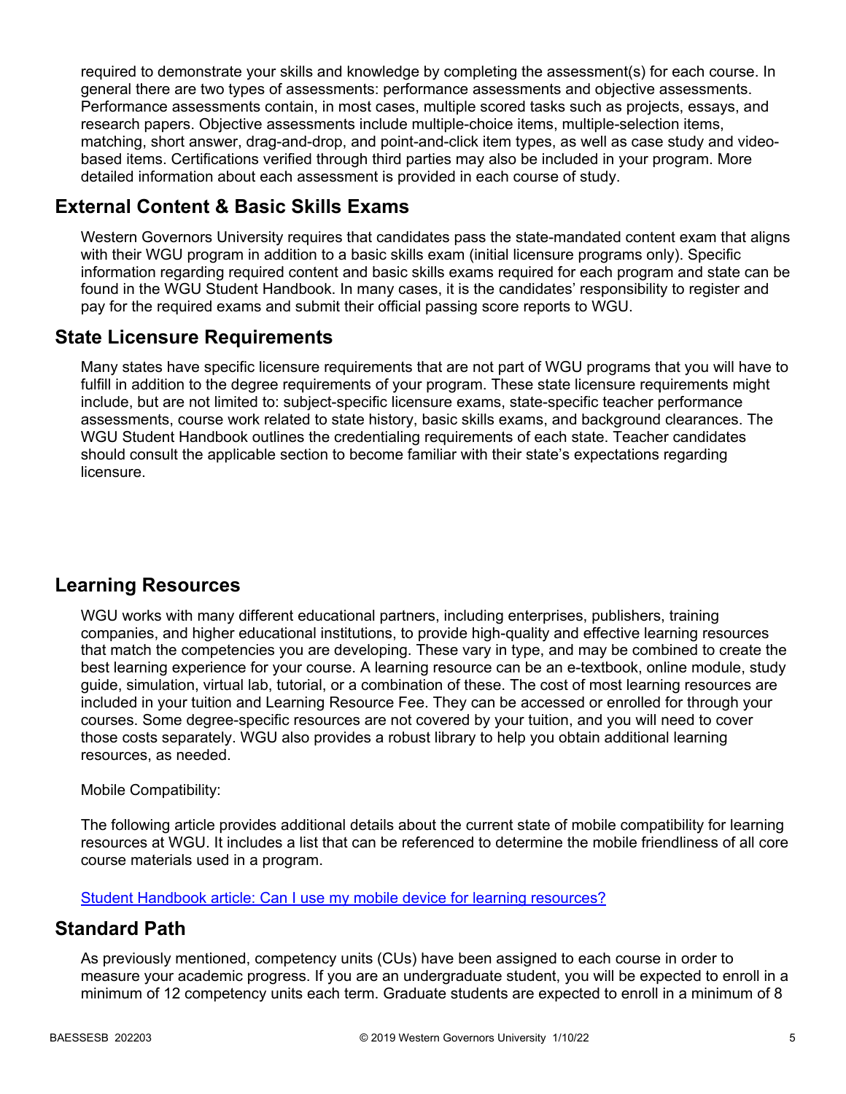required to demonstrate your skills and knowledge by completing the assessment(s) for each course. In general there are two types of assessments: performance assessments and objective assessments. Performance assessments contain, in most cases, multiple scored tasks such as projects, essays, and research papers. Objective assessments include multiple-choice items, multiple-selection items, matching, short answer, drag-and-drop, and point-and-click item types, as well as case study and videobased items. Certifications verified through third parties may also be included in your program. More detailed information about each assessment is provided in each course of study.

## **External Content & Basic Skills Exams**

Western Governors University requires that candidates pass the state-mandated content exam that aligns with their WGU program in addition to a basic skills exam (initial licensure programs only). Specific information regarding required content and basic skills exams required for each program and state can be found in the WGU Student Handbook. In many cases, it is the candidates' responsibility to register and pay for the required exams and submit their official passing score reports to WGU.

### **State Licensure Requirements**

Many states have specific licensure requirements that are not part of WGU programs that you will have to fulfill in addition to the degree requirements of your program. These state licensure requirements might include, but are not limited to: subject-specific licensure exams, state-specific teacher performance assessments, course work related to state history, basic skills exams, and background clearances. The WGU Student Handbook outlines the credentialing requirements of each state. Teacher candidates should consult the applicable section to become familiar with their state's expectations regarding licensure.

## **Learning Resources**

WGU works with many different educational partners, including enterprises, publishers, training companies, and higher educational institutions, to provide high-quality and effective learning resources that match the competencies you are developing. These vary in type, and may be combined to create the best learning experience for your course. A learning resource can be an e-textbook, online module, study guide, simulation, virtual lab, tutorial, or a combination of these. The cost of most learning resources are included in your tuition and Learning Resource Fee. They can be accessed or enrolled for through your courses. Some degree-specific resources are not covered by your tuition, and you will need to cover those costs separately. WGU also provides a robust library to help you obtain additional learning resources, as needed.

### Mobile Compatibility:

The following article provides additional details about the current state of mobile compatibility for learning resources at WGU. It includes a list that can be referenced to determine the mobile friendliness of all core course materials used in a program.

[Student Handbook article: Can I use my mobile device for learning resources?](https://cm.wgu.edu/t5/Frequently-Asked-Questions/Can-I-use-my-mobile-device-for-learning-resources/ta-p/396)

### **Standard Path**

As previously mentioned, competency units (CUs) have been assigned to each course in order to measure your academic progress. If you are an undergraduate student, you will be expected to enroll in a minimum of 12 competency units each term. Graduate students are expected to enroll in a minimum of 8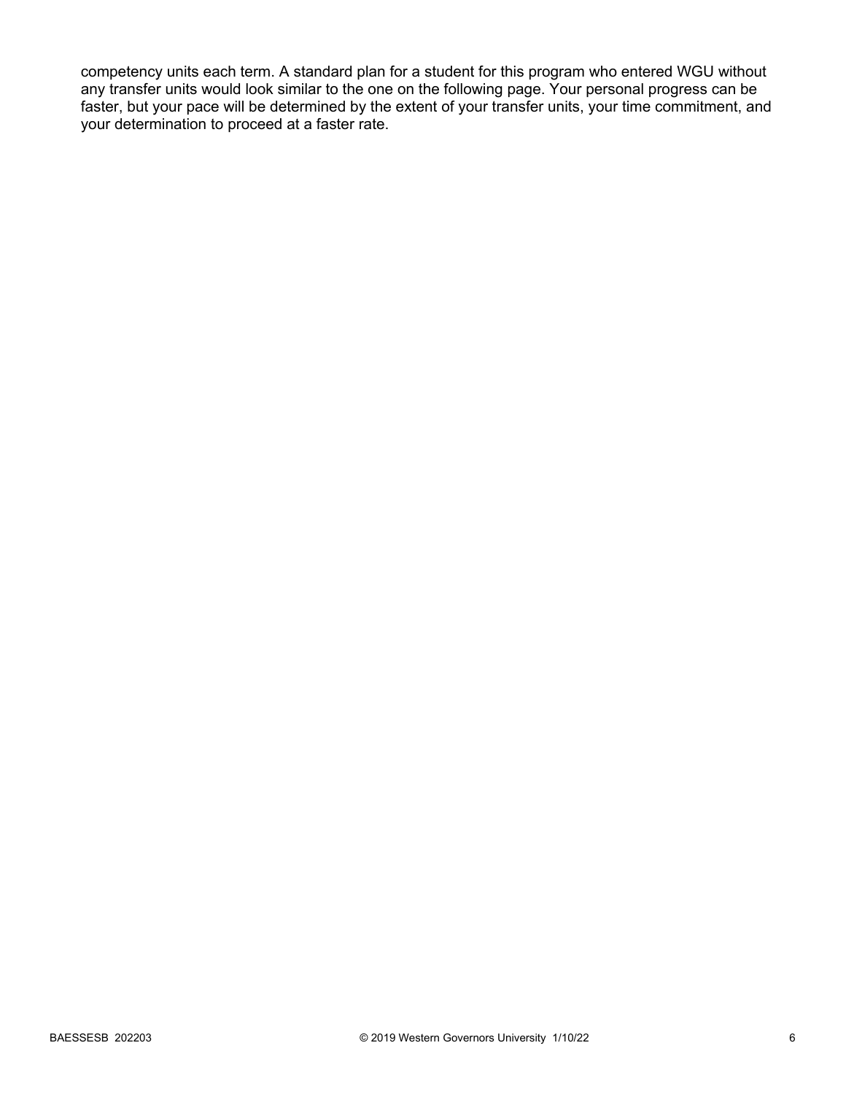competency units each term. A standard plan for a student for this program who entered WGU without any transfer units would look similar to the one on the following page. Your personal progress can be faster, but your pace will be determined by the extent of your transfer units, your time commitment, and your determination to proceed at a faster rate.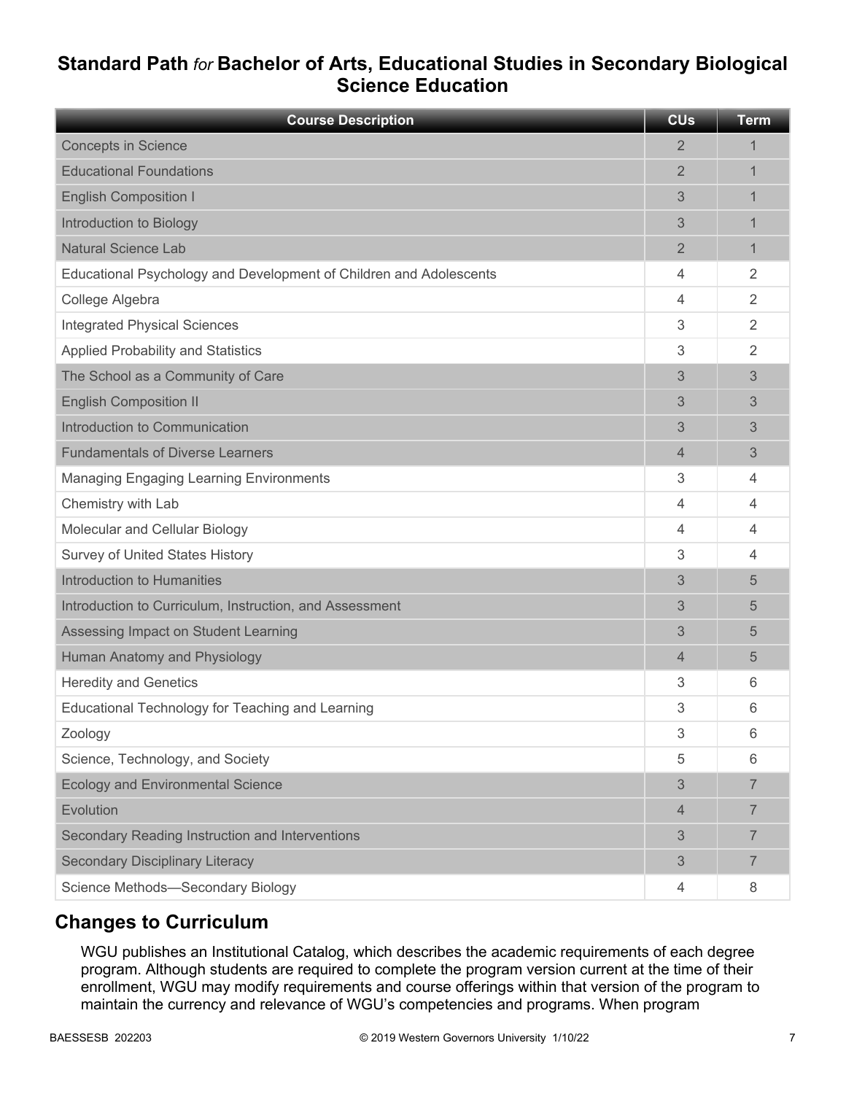## **Standard Path** *for* **Bachelor of Arts, Educational Studies in Secondary Biological Science Education**

| <b>Course Description</b>                                          | <b>CU<sub>s</sub></b> | <b>Term</b>    |
|--------------------------------------------------------------------|-----------------------|----------------|
| <b>Concepts in Science</b>                                         | $\overline{2}$        | 1              |
| <b>Educational Foundations</b>                                     | $\overline{2}$        | 1              |
| <b>English Composition I</b>                                       | 3                     | 1              |
| Introduction to Biology                                            | 3                     | 1              |
| <b>Natural Science Lab</b>                                         | 2                     | 1              |
| Educational Psychology and Development of Children and Adolescents | 4                     | 2              |
| College Algebra                                                    | 4                     | $\overline{2}$ |
| <b>Integrated Physical Sciences</b>                                | 3                     | 2              |
| <b>Applied Probability and Statistics</b>                          | 3                     | $\overline{2}$ |
| The School as a Community of Care                                  | 3                     | 3              |
| <b>English Composition II</b>                                      | 3                     | 3              |
| Introduction to Communication                                      | 3                     | 3              |
| <b>Fundamentals of Diverse Learners</b>                            | $\overline{4}$        | 3              |
| <b>Managing Engaging Learning Environments</b>                     | 3                     | 4              |
| Chemistry with Lab                                                 | 4                     | 4              |
| Molecular and Cellular Biology                                     | 4                     | $\overline{4}$ |
| <b>Survey of United States History</b>                             | 3                     | $\overline{4}$ |
| Introduction to Humanities                                         | 3                     | 5              |
| Introduction to Curriculum, Instruction, and Assessment            | 3                     | 5              |
| Assessing Impact on Student Learning                               | 3                     | 5              |
| Human Anatomy and Physiology                                       | 4                     | 5              |
| <b>Heredity and Genetics</b>                                       | 3                     | 6              |
| Educational Technology for Teaching and Learning                   | 3                     | 6              |
| Zoology                                                            | 3                     | 6              |
| Science, Technology, and Society                                   | 5                     | 6              |
| <b>Ecology and Environmental Science</b>                           | 3                     | $\overline{7}$ |
| Evolution                                                          | $\overline{4}$        | $\overline{7}$ |
| Secondary Reading Instruction and Interventions                    | 3                     | 7              |
| <b>Secondary Disciplinary Literacy</b>                             | 3                     | $\overline{7}$ |
| Science Methods-Secondary Biology                                  | 4                     | 8              |

## **Changes to Curriculum**

WGU publishes an Institutional Catalog, which describes the academic requirements of each degree program. Although students are required to complete the program version current at the time of their enrollment, WGU may modify requirements and course offerings within that version of the program to maintain the currency and relevance of WGU's competencies and programs. When program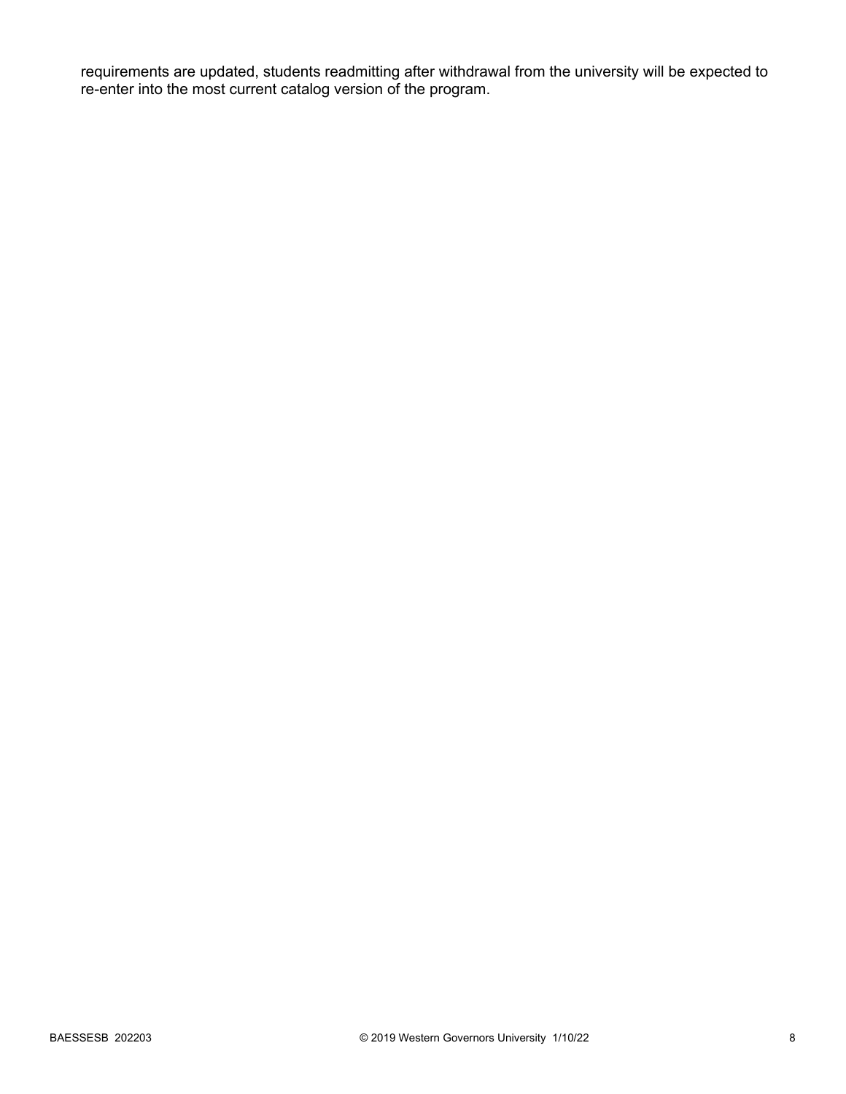requirements are updated, students readmitting after withdrawal from the university will be expected to re-enter into the most current catalog version of the program.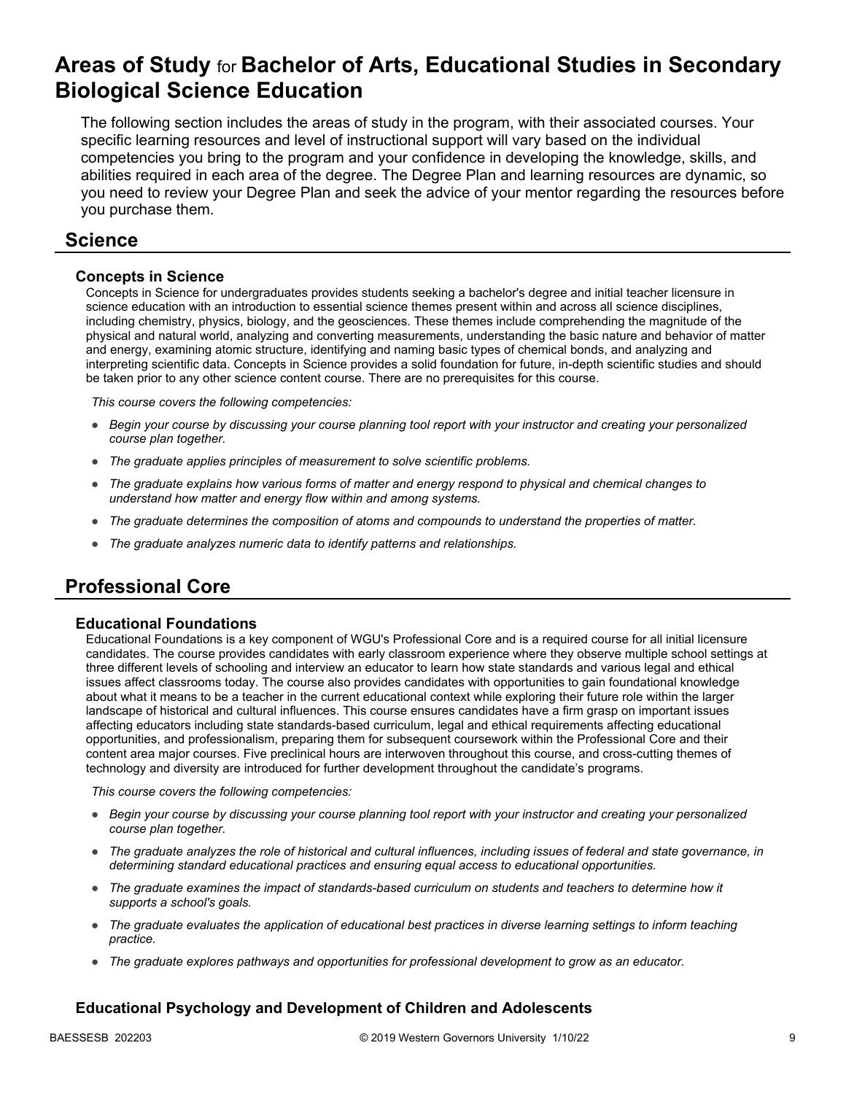## **Areas of Study** for **Bachelor of Arts, Educational Studies in Secondary Biological Science Education**

The following section includes the areas of study in the program, with their associated courses. Your specific learning resources and level of instructional support will vary based on the individual competencies you bring to the program and your confidence in developing the knowledge, skills, and abilities required in each area of the degree. The Degree Plan and learning resources are dynamic, so you need to review your Degree Plan and seek the advice of your mentor regarding the resources before you purchase them.

### **Science**

### **Concepts in Science**

Concepts in Science for undergraduates provides students seeking a bachelor's degree and initial teacher licensure in science education with an introduction to essential science themes present within and across all science disciplines, including chemistry, physics, biology, and the geosciences. These themes include comprehending the magnitude of the physical and natural world, analyzing and converting measurements, understanding the basic nature and behavior of matter and energy, examining atomic structure, identifying and naming basic types of chemical bonds, and analyzing and interpreting scientific data. Concepts in Science provides a solid foundation for future, in-depth scientific studies and should be taken prior to any other science content course. There are no prerequisites for this course.

*This course covers the following competencies:*

- *Begin your course by discussing your course planning tool report with your instructor and creating your personalized course plan together.*
- *The graduate applies principles of measurement to solve scientific problems.*
- *The graduate explains how various forms of matter and energy respond to physical and chemical changes to understand how matter and energy flow within and among systems.*
- *The graduate determines the composition of atoms and compounds to understand the properties of matter.*
- *The graduate analyzes numeric data to identify patterns and relationships.*

## **Professional Core**

#### **Educational Foundations**

Educational Foundations is a key component of WGU's Professional Core and is a required course for all initial licensure candidates. The course provides candidates with early classroom experience where they observe multiple school settings at three different levels of schooling and interview an educator to learn how state standards and various legal and ethical issues affect classrooms today. The course also provides candidates with opportunities to gain foundational knowledge about what it means to be a teacher in the current educational context while exploring their future role within the larger landscape of historical and cultural influences. This course ensures candidates have a firm grasp on important issues affecting educators including state standards-based curriculum, legal and ethical requirements affecting educational opportunities, and professionalism, preparing them for subsequent coursework within the Professional Core and their content area major courses. Five preclinical hours are interwoven throughout this course, and cross-cutting themes of technology and diversity are introduced for further development throughout the candidate's programs.

*This course covers the following competencies:*

- *Begin your course by discussing your course planning tool report with your instructor and creating your personalized course plan together.*
- *The graduate analyzes the role of historical and cultural influences, including issues of federal and state governance, in determining standard educational practices and ensuring equal access to educational opportunities.*
- *The graduate examines the impact of standards-based curriculum on students and teachers to determine how it supports a school's goals.*
- *The graduate evaluates the application of educational best practices in diverse learning settings to inform teaching practice.*
- *The graduate explores pathways and opportunities for professional development to grow as an educator.*

### **Educational Psychology and Development of Children and Adolescents**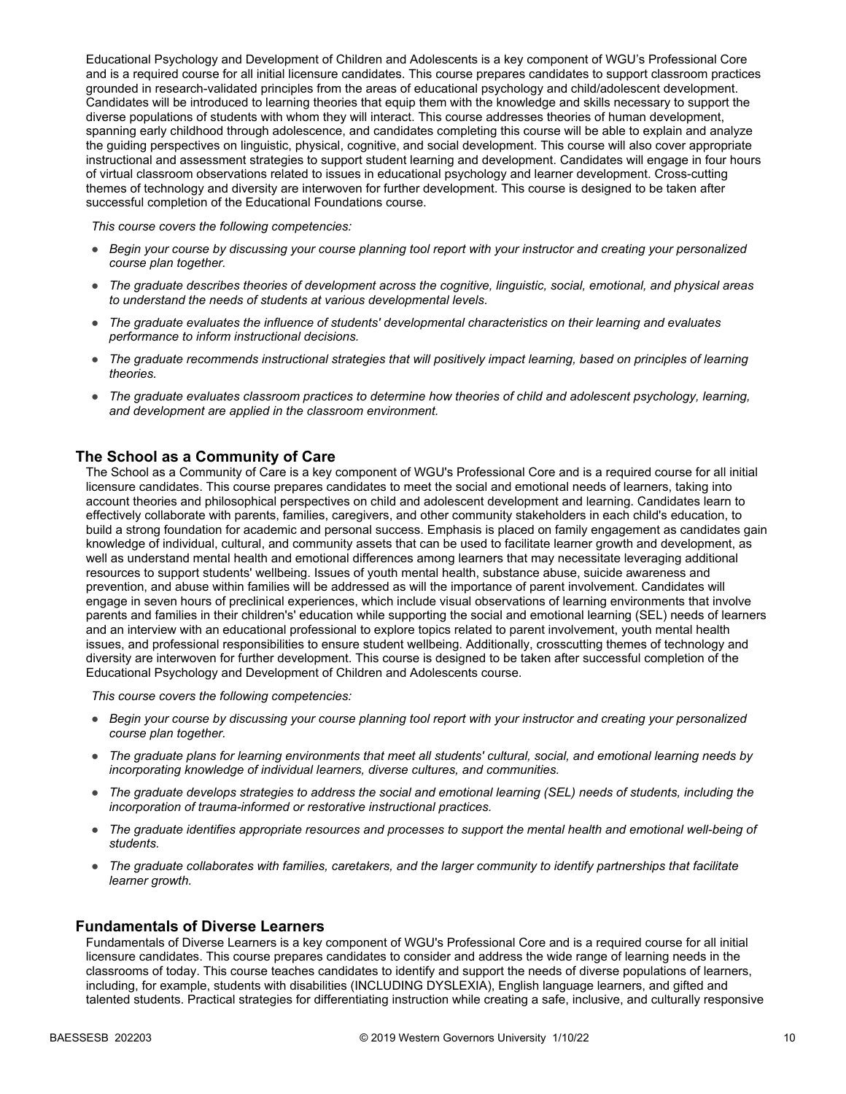Educational Psychology and Development of Children and Adolescents is a key component of WGU's Professional Core and is a required course for all initial licensure candidates. This course prepares candidates to support classroom practices grounded in research-validated principles from the areas of educational psychology and child/adolescent development. Candidates will be introduced to learning theories that equip them with the knowledge and skills necessary to support the diverse populations of students with whom they will interact. This course addresses theories of human development, spanning early childhood through adolescence, and candidates completing this course will be able to explain and analyze the guiding perspectives on linguistic, physical, cognitive, and social development. This course will also cover appropriate instructional and assessment strategies to support student learning and development. Candidates will engage in four hours of virtual classroom observations related to issues in educational psychology and learner development. Cross-cutting themes of technology and diversity are interwoven for further development. This course is designed to be taken after successful completion of the Educational Foundations course.

*This course covers the following competencies:*

- *Begin your course by discussing your course planning tool report with your instructor and creating your personalized course plan together.*
- *The graduate describes theories of development across the cognitive, linguistic, social, emotional, and physical areas to understand the needs of students at various developmental levels.*
- *The graduate evaluates the influence of students' developmental characteristics on their learning and evaluates performance to inform instructional decisions.*
- *The graduate recommends instructional strategies that will positively impact learning, based on principles of learning theories.*
- *The graduate evaluates classroom practices to determine how theories of child and adolescent psychology, learning, and development are applied in the classroom environment.*

#### **The School as a Community of Care**

The School as a Community of Care is a key component of WGU's Professional Core and is a required course for all initial licensure candidates. This course prepares candidates to meet the social and emotional needs of learners, taking into account theories and philosophical perspectives on child and adolescent development and learning. Candidates learn to effectively collaborate with parents, families, caregivers, and other community stakeholders in each child's education, to build a strong foundation for academic and personal success. Emphasis is placed on family engagement as candidates gain knowledge of individual, cultural, and community assets that can be used to facilitate learner growth and development, as well as understand mental health and emotional differences among learners that may necessitate leveraging additional resources to support students' wellbeing. Issues of youth mental health, substance abuse, suicide awareness and prevention, and abuse within families will be addressed as will the importance of parent involvement. Candidates will engage in seven hours of preclinical experiences, which include visual observations of learning environments that involve parents and families in their children's' education while supporting the social and emotional learning (SEL) needs of learners and an interview with an educational professional to explore topics related to parent involvement, youth mental health issues, and professional responsibilities to ensure student wellbeing. Additionally, crosscutting themes of technology and diversity are interwoven for further development. This course is designed to be taken after successful completion of the Educational Psychology and Development of Children and Adolescents course.

*This course covers the following competencies:*

- *Begin your course by discussing your course planning tool report with your instructor and creating your personalized course plan together.*
- *The graduate plans for learning environments that meet all students' cultural, social, and emotional learning needs by incorporating knowledge of individual learners, diverse cultures, and communities.*
- *The graduate develops strategies to address the social and emotional learning (SEL) needs of students, including the incorporation of trauma-informed or restorative instructional practices.*
- *The graduate identifies appropriate resources and processes to support the mental health and emotional well-being of students.*
- *The graduate collaborates with families, caretakers, and the larger community to identify partnerships that facilitate learner growth.*

#### **Fundamentals of Diverse Learners**

Fundamentals of Diverse Learners is a key component of WGU's Professional Core and is a required course for all initial licensure candidates. This course prepares candidates to consider and address the wide range of learning needs in the classrooms of today. This course teaches candidates to identify and support the needs of diverse populations of learners, including, for example, students with disabilities (INCLUDING DYSLEXIA), English language learners, and gifted and talented students. Practical strategies for differentiating instruction while creating a safe, inclusive, and culturally responsive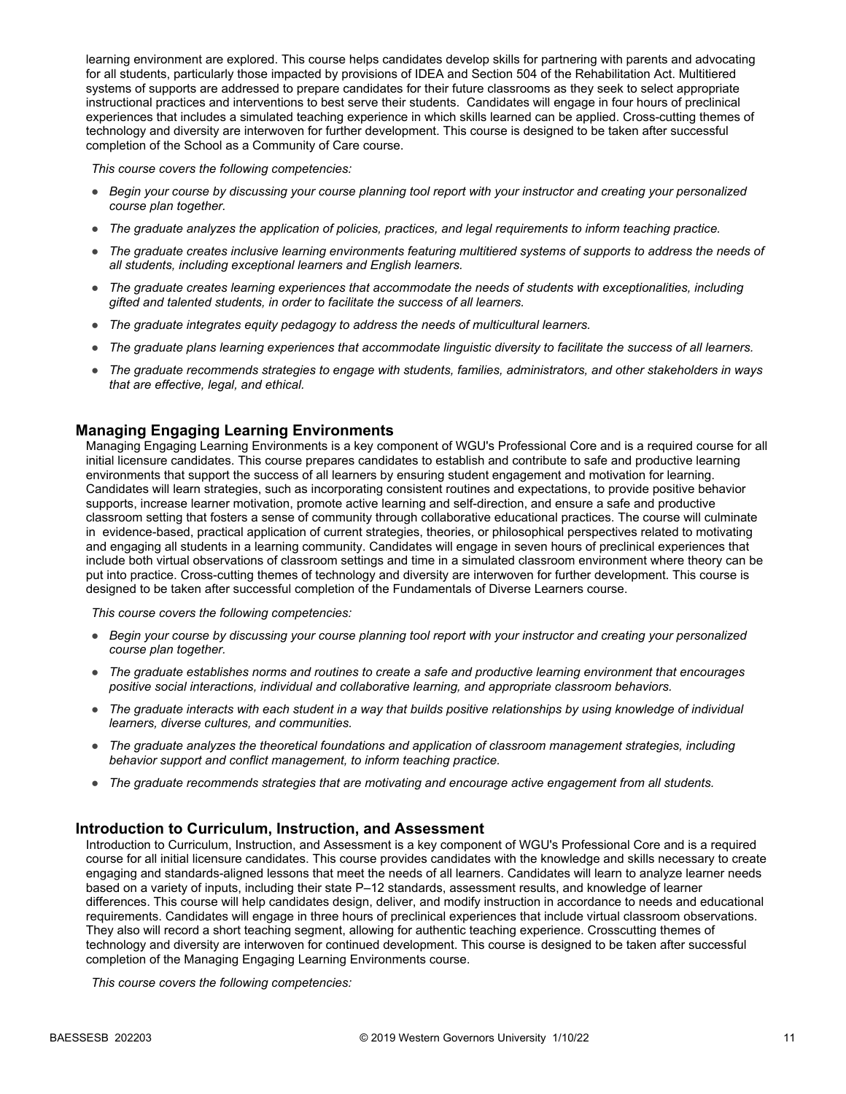learning environment are explored. This course helps candidates develop skills for partnering with parents and advocating for all students, particularly those impacted by provisions of IDEA and Section 504 of the Rehabilitation Act. Multitiered systems of supports are addressed to prepare candidates for their future classrooms as they seek to select appropriate instructional practices and interventions to best serve their students. Candidates will engage in four hours of preclinical experiences that includes a simulated teaching experience in which skills learned can be applied. Cross-cutting themes of technology and diversity are interwoven for further development. This course is designed to be taken after successful completion of the School as a Community of Care course.

*This course covers the following competencies:*

- *Begin your course by discussing your course planning tool report with your instructor and creating your personalized course plan together.*
- *The graduate analyzes the application of policies, practices, and legal requirements to inform teaching practice.*
- *The graduate creates inclusive learning environments featuring multitiered systems of supports to address the needs of all students, including exceptional learners and English learners.*
- *The graduate creates learning experiences that accommodate the needs of students with exceptionalities, including gifted and talented students, in order to facilitate the success of all learners.*
- *The graduate integrates equity pedagogy to address the needs of multicultural learners.*
- *The graduate plans learning experiences that accommodate linguistic diversity to facilitate the success of all learners.*
- *The graduate recommends strategies to engage with students, families, administrators, and other stakeholders in ways that are effective, legal, and ethical.*

#### **Managing Engaging Learning Environments**

Managing Engaging Learning Environments is a key component of WGU's Professional Core and is a required course for all initial licensure candidates. This course prepares candidates to establish and contribute to safe and productive learning environments that support the success of all learners by ensuring student engagement and motivation for learning. Candidates will learn strategies, such as incorporating consistent routines and expectations, to provide positive behavior supports, increase learner motivation, promote active learning and self-direction, and ensure a safe and productive classroom setting that fosters a sense of community through collaborative educational practices. The course will culminate in evidence-based, practical application of current strategies, theories, or philosophical perspectives related to motivating and engaging all students in a learning community. Candidates will engage in seven hours of preclinical experiences that include both virtual observations of classroom settings and time in a simulated classroom environment where theory can be put into practice. Cross-cutting themes of technology and diversity are interwoven for further development. This course is designed to be taken after successful completion of the Fundamentals of Diverse Learners course.

*This course covers the following competencies:*

- *Begin your course by discussing your course planning tool report with your instructor and creating your personalized course plan together.*
- *The graduate establishes norms and routines to create a safe and productive learning environment that encourages positive social interactions, individual and collaborative learning, and appropriate classroom behaviors.*
- *The graduate interacts with each student in a way that builds positive relationships by using knowledge of individual learners, diverse cultures, and communities.*
- *The graduate analyzes the theoretical foundations and application of classroom management strategies, including behavior support and conflict management, to inform teaching practice.*
- *The graduate recommends strategies that are motivating and encourage active engagement from all students.*

#### **Introduction to Curriculum, Instruction, and Assessment**

Introduction to Curriculum, Instruction, and Assessment is a key component of WGU's Professional Core and is a required course for all initial licensure candidates. This course provides candidates with the knowledge and skills necessary to create engaging and standards-aligned lessons that meet the needs of all learners. Candidates will learn to analyze learner needs based on a variety of inputs, including their state P–12 standards, assessment results, and knowledge of learner differences. This course will help candidates design, deliver, and modify instruction in accordance to needs and educational requirements. Candidates will engage in three hours of preclinical experiences that include virtual classroom observations. They also will record a short teaching segment, allowing for authentic teaching experience. Crosscutting themes of technology and diversity are interwoven for continued development. This course is designed to be taken after successful completion of the Managing Engaging Learning Environments course.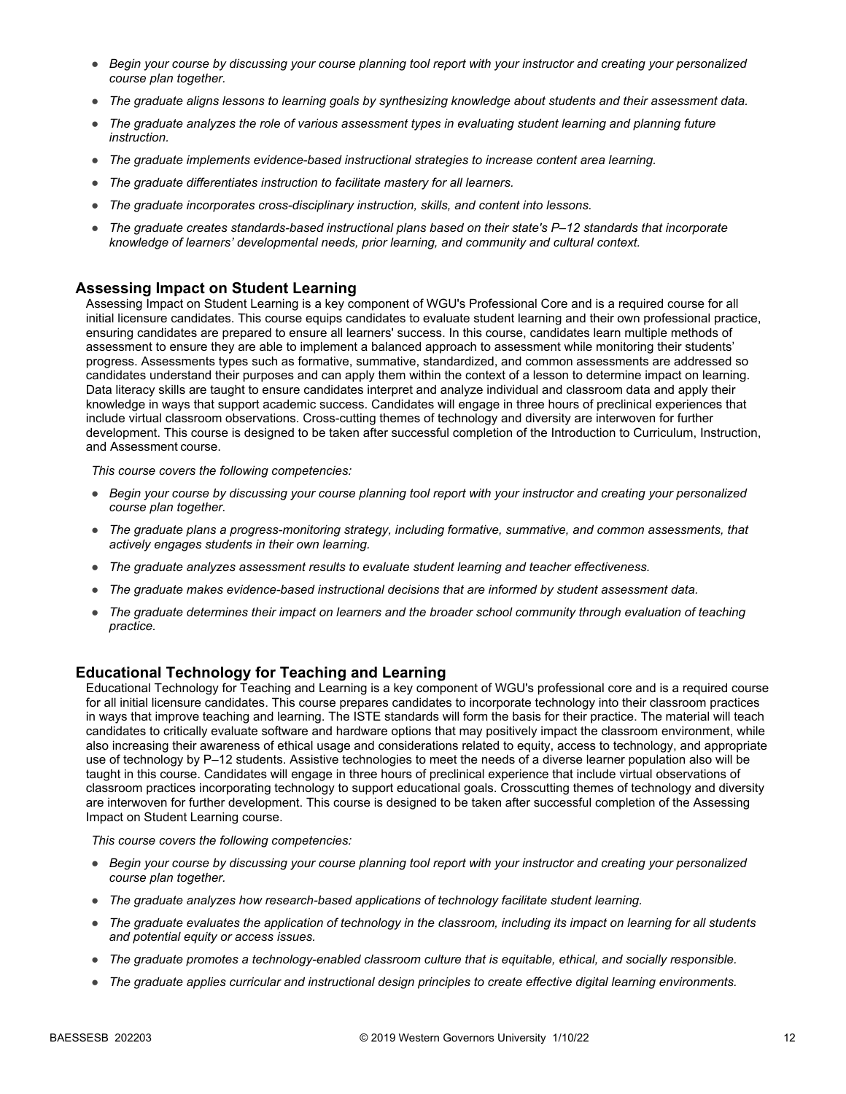- *Begin your course by discussing your course planning tool report with your instructor and creating your personalized course plan together.*
- *The graduate aligns lessons to learning goals by synthesizing knowledge about students and their assessment data.*
- *The graduate analyzes the role of various assessment types in evaluating student learning and planning future instruction.*
- *The graduate implements evidence-based instructional strategies to increase content area learning.*
- *The graduate differentiates instruction to facilitate mastery for all learners.*
- *The graduate incorporates cross-disciplinary instruction, skills, and content into lessons.*
- *The graduate creates standards-based instructional plans based on their state's P–12 standards that incorporate knowledge of learners' developmental needs, prior learning, and community and cultural context.*

#### **Assessing Impact on Student Learning**

Assessing Impact on Student Learning is a key component of WGU's Professional Core and is a required course for all initial licensure candidates. This course equips candidates to evaluate student learning and their own professional practice, ensuring candidates are prepared to ensure all learners' success. In this course, candidates learn multiple methods of assessment to ensure they are able to implement a balanced approach to assessment while monitoring their students' progress. Assessments types such as formative, summative, standardized, and common assessments are addressed so candidates understand their purposes and can apply them within the context of a lesson to determine impact on learning. Data literacy skills are taught to ensure candidates interpret and analyze individual and classroom data and apply their knowledge in ways that support academic success. Candidates will engage in three hours of preclinical experiences that include virtual classroom observations. Cross-cutting themes of technology and diversity are interwoven for further development. This course is designed to be taken after successful completion of the Introduction to Curriculum, Instruction, and Assessment course.

*This course covers the following competencies:*

- *Begin your course by discussing your course planning tool report with your instructor and creating your personalized course plan together.*
- *The graduate plans a progress-monitoring strategy, including formative, summative, and common assessments, that actively engages students in their own learning.*
- *The graduate analyzes assessment results to evaluate student learning and teacher effectiveness.*
- *The graduate makes evidence-based instructional decisions that are informed by student assessment data.*
- *The graduate determines their impact on learners and the broader school community through evaluation of teaching practice.*

### **Educational Technology for Teaching and Learning**

Educational Technology for Teaching and Learning is a key component of WGU's professional core and is a required course for all initial licensure candidates. This course prepares candidates to incorporate technology into their classroom practices in ways that improve teaching and learning. The ISTE standards will form the basis for their practice. The material will teach candidates to critically evaluate software and hardware options that may positively impact the classroom environment, while also increasing their awareness of ethical usage and considerations related to equity, access to technology, and appropriate use of technology by P–12 students. Assistive technologies to meet the needs of a diverse learner population also will be taught in this course. Candidates will engage in three hours of preclinical experience that include virtual observations of classroom practices incorporating technology to support educational goals. Crosscutting themes of technology and diversity are interwoven for further development. This course is designed to be taken after successful completion of the Assessing Impact on Student Learning course.

- *Begin your course by discussing your course planning tool report with your instructor and creating your personalized course plan together.*
- *The graduate analyzes how research-based applications of technology facilitate student learning.*
- *The graduate evaluates the application of technology in the classroom, including its impact on learning for all students and potential equity or access issues.*
- *The graduate promotes a technology-enabled classroom culture that is equitable, ethical, and socially responsible.*
- *The graduate applies curricular and instructional design principles to create effective digital learning environments.*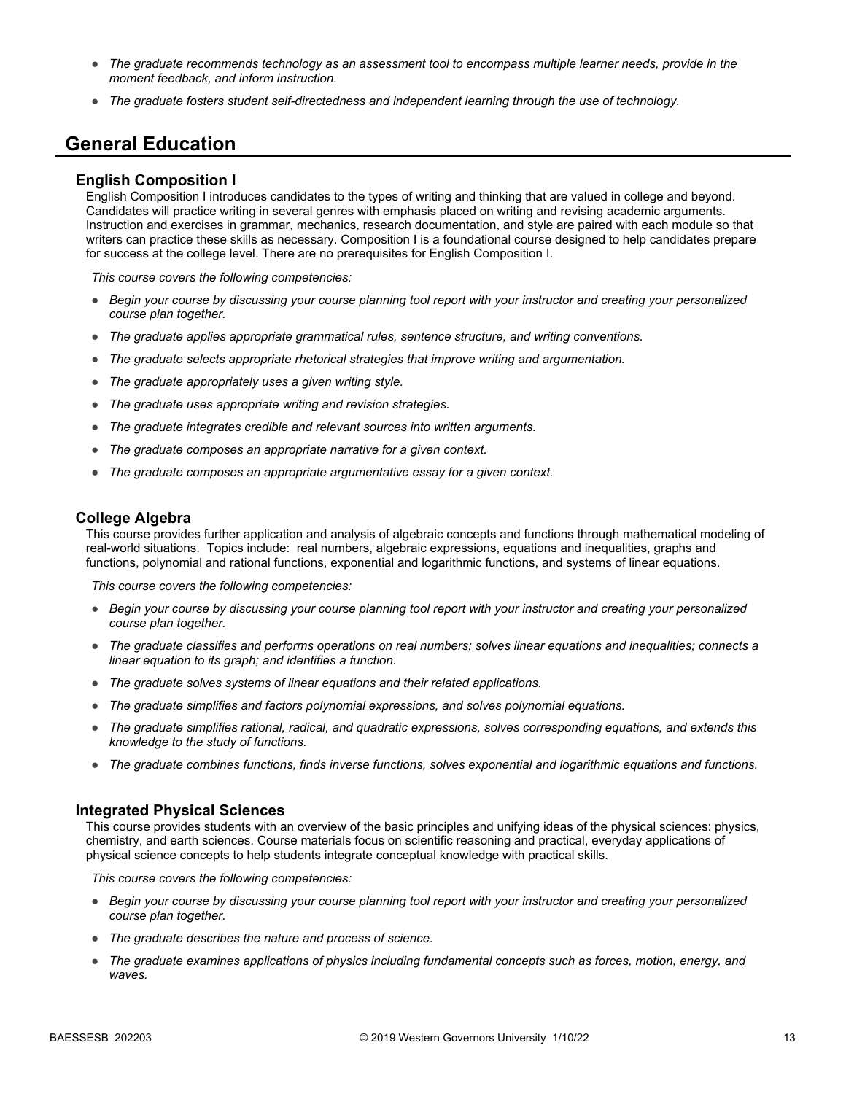- *The graduate recommends technology as an assessment tool to encompass multiple learner needs, provide in the moment feedback, and inform instruction.*
- *The graduate fosters student self-directedness and independent learning through the use of technology.*

### **General Education**

#### **English Composition I**

English Composition I introduces candidates to the types of writing and thinking that are valued in college and beyond. Candidates will practice writing in several genres with emphasis placed on writing and revising academic arguments. Instruction and exercises in grammar, mechanics, research documentation, and style are paired with each module so that writers can practice these skills as necessary. Composition I is a foundational course designed to help candidates prepare for success at the college level. There are no prerequisites for English Composition I.

*This course covers the following competencies:*

- *Begin your course by discussing your course planning tool report with your instructor and creating your personalized course plan together.*
- *The graduate applies appropriate grammatical rules, sentence structure, and writing conventions.*
- *The graduate selects appropriate rhetorical strategies that improve writing and argumentation.*
- *The graduate appropriately uses a given writing style.*
- *The graduate uses appropriate writing and revision strategies.*
- *The graduate integrates credible and relevant sources into written arguments.*
- *The graduate composes an appropriate narrative for a given context.*
- *The graduate composes an appropriate argumentative essay for a given context.*

#### **College Algebra**

This course provides further application and analysis of algebraic concepts and functions through mathematical modeling of real-world situations. Topics include: real numbers, algebraic expressions, equations and inequalities, graphs and functions, polynomial and rational functions, exponential and logarithmic functions, and systems of linear equations.

*This course covers the following competencies:*

- *Begin your course by discussing your course planning tool report with your instructor and creating your personalized course plan together.*
- *The graduate classifies and performs operations on real numbers; solves linear equations and inequalities; connects a linear equation to its graph; and identifies a function.*
- *The graduate solves systems of linear equations and their related applications.*
- *The graduate simplifies and factors polynomial expressions, and solves polynomial equations.*
- *The graduate simplifies rational, radical, and quadratic expressions, solves corresponding equations, and extends this knowledge to the study of functions.*
- *The graduate combines functions, finds inverse functions, solves exponential and logarithmic equations and functions.*

#### **Integrated Physical Sciences**

This course provides students with an overview of the basic principles and unifying ideas of the physical sciences: physics, chemistry, and earth sciences. Course materials focus on scientific reasoning and practical, everyday applications of physical science concepts to help students integrate conceptual knowledge with practical skills.

- *Begin your course by discussing your course planning tool report with your instructor and creating your personalized course plan together.*
- *The graduate describes the nature and process of science.*
- *The graduate examines applications of physics including fundamental concepts such as forces, motion, energy, and waves.*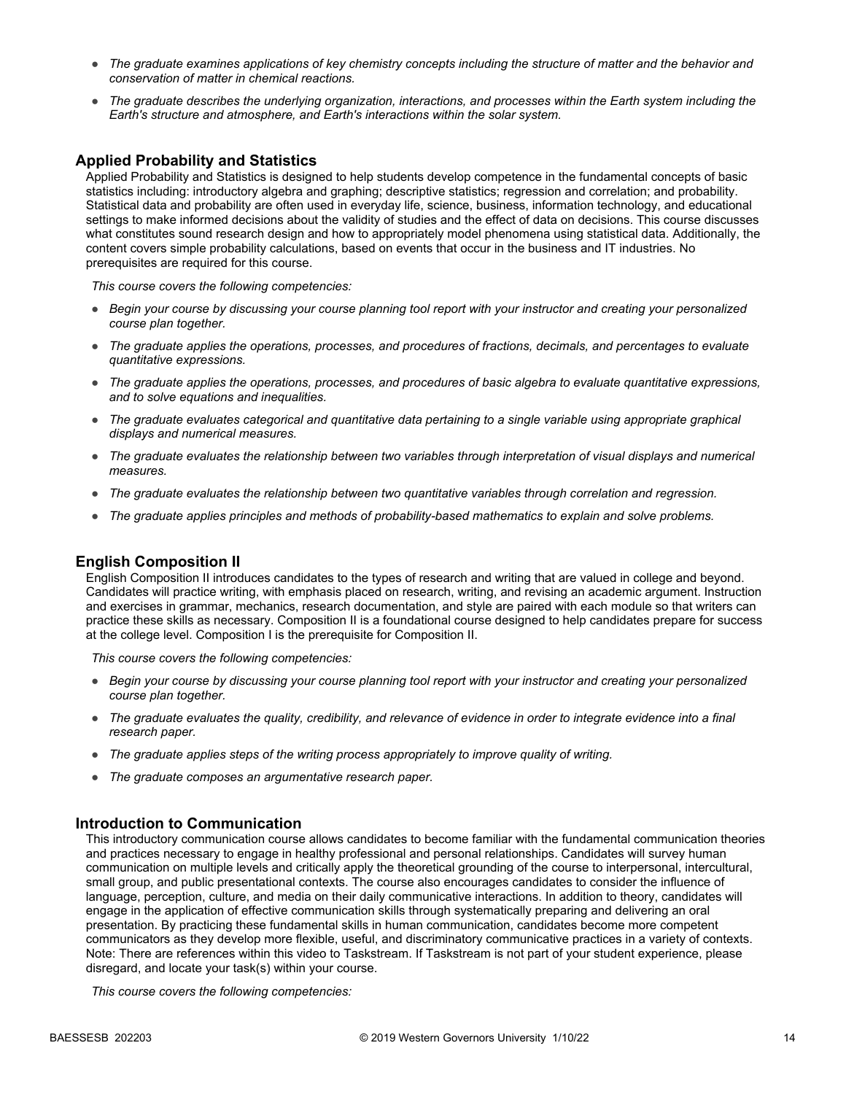- *The graduate examines applications of key chemistry concepts including the structure of matter and the behavior and conservation of matter in chemical reactions.*
- *The graduate describes the underlying organization, interactions, and processes within the Earth system including the Earth's structure and atmosphere, and Earth's interactions within the solar system.*

#### **Applied Probability and Statistics**

Applied Probability and Statistics is designed to help students develop competence in the fundamental concepts of basic statistics including: introductory algebra and graphing; descriptive statistics; regression and correlation; and probability. Statistical data and probability are often used in everyday life, science, business, information technology, and educational settings to make informed decisions about the validity of studies and the effect of data on decisions. This course discusses what constitutes sound research design and how to appropriately model phenomena using statistical data. Additionally, the content covers simple probability calculations, based on events that occur in the business and IT industries. No prerequisites are required for this course.

*This course covers the following competencies:*

- *Begin your course by discussing your course planning tool report with your instructor and creating your personalized course plan together.*
- *The graduate applies the operations, processes, and procedures of fractions, decimals, and percentages to evaluate quantitative expressions.*
- *The graduate applies the operations, processes, and procedures of basic algebra to evaluate quantitative expressions, and to solve equations and inequalities.*
- *The graduate evaluates categorical and quantitative data pertaining to a single variable using appropriate graphical displays and numerical measures.*
- *The graduate evaluates the relationship between two variables through interpretation of visual displays and numerical measures.*
- *The graduate evaluates the relationship between two quantitative variables through correlation and regression.*
- *The graduate applies principles and methods of probability-based mathematics to explain and solve problems.*

#### **English Composition II**

English Composition II introduces candidates to the types of research and writing that are valued in college and beyond. Candidates will practice writing, with emphasis placed on research, writing, and revising an academic argument. Instruction and exercises in grammar, mechanics, research documentation, and style are paired with each module so that writers can practice these skills as necessary. Composition II is a foundational course designed to help candidates prepare for success at the college level. Composition I is the prerequisite for Composition II.

*This course covers the following competencies:*

- *Begin your course by discussing your course planning tool report with your instructor and creating your personalized course plan together.*
- *The graduate evaluates the quality, credibility, and relevance of evidence in order to integrate evidence into a final research paper.*
- *The graduate applies steps of the writing process appropriately to improve quality of writing.*
- *The graduate composes an argumentative research paper.*

#### **Introduction to Communication**

This introductory communication course allows candidates to become familiar with the fundamental communication theories and practices necessary to engage in healthy professional and personal relationships. Candidates will survey human communication on multiple levels and critically apply the theoretical grounding of the course to interpersonal, intercultural, small group, and public presentational contexts. The course also encourages candidates to consider the influence of language, perception, culture, and media on their daily communicative interactions. In addition to theory, candidates will engage in the application of effective communication skills through systematically preparing and delivering an oral presentation. By practicing these fundamental skills in human communication, candidates become more competent communicators as they develop more flexible, useful, and discriminatory communicative practices in a variety of contexts. Note: There are references within this video to Taskstream. If Taskstream is not part of your student experience, please disregard, and locate your task(s) within your course.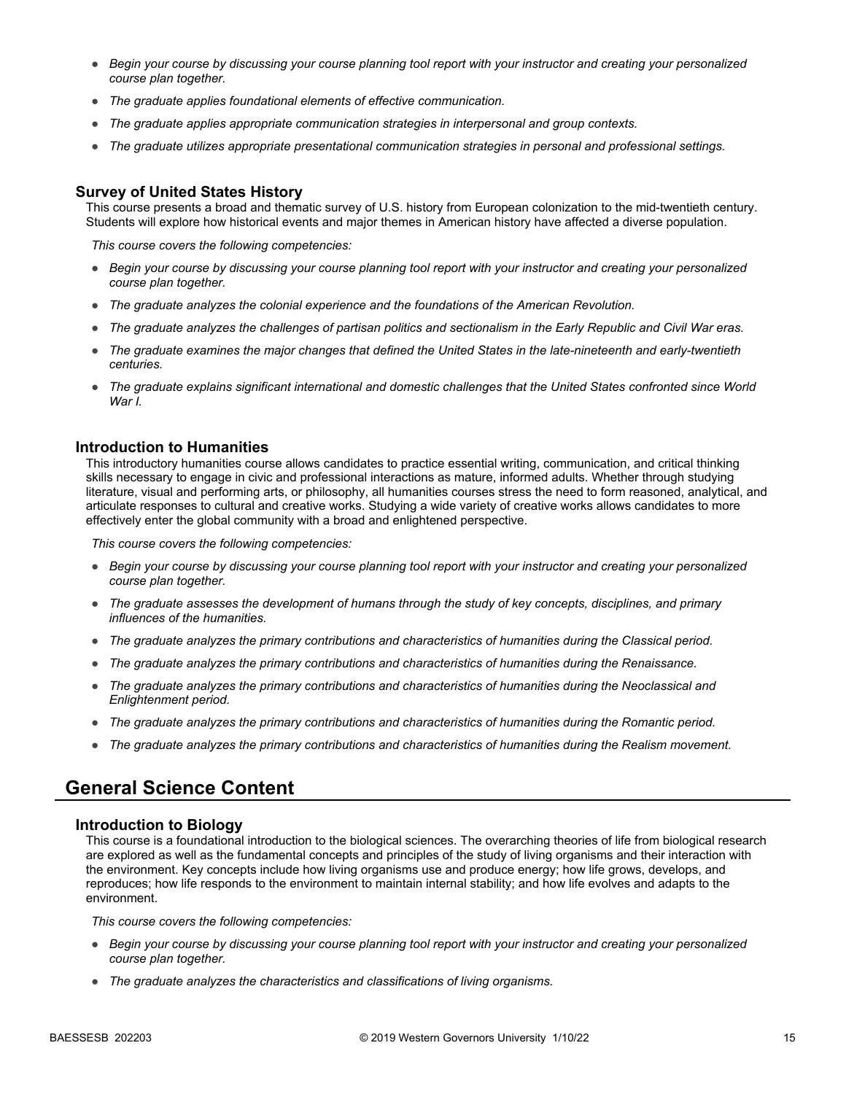- *Begin your course by discussing your course planning tool report with your instructor and creating your personalized course plan together.*
- *The graduate applies foundational elements of effective communication.*
- *The graduate applies appropriate communication strategies in interpersonal and group contexts.*
- *The graduate utilizes appropriate presentational communication strategies in personal and professional settings.*

#### **Survey of United States History**

This course presents a broad and thematic survey of U.S. history from European colonization to the mid-twentieth century. Students will explore how historical events and major themes in American history have affected a diverse population.

*This course covers the following competencies:*

- *Begin your course by discussing your course planning tool report with your instructor and creating your personalized course plan together.*
- *The graduate analyzes the colonial experience and the foundations of the American Revolution.*
- *The graduate analyzes the challenges of partisan politics and sectionalism in the Early Republic and Civil War eras.*
- *The graduate examines the major changes that defined the United States in the late-nineteenth and early-twentieth centuries.*
- *The graduate explains significant international and domestic challenges that the United States confronted since World War I.*

#### **Introduction to Humanities**

This introductory humanities course allows candidates to practice essential writing, communication, and critical thinking skills necessary to engage in civic and professional interactions as mature, informed adults. Whether through studying literature, visual and performing arts, or philosophy, all humanities courses stress the need to form reasoned, analytical, and articulate responses to cultural and creative works. Studying a wide variety of creative works allows candidates to more effectively enter the global community with a broad and enlightened perspective.

*This course covers the following competencies:*

- *Begin your course by discussing your course planning tool report with your instructor and creating your personalized course plan together.*
- *The graduate assesses the development of humans through the study of key concepts, disciplines, and primary influences of the humanities.*
- *The graduate analyzes the primary contributions and characteristics of humanities during the Classical period.*
- *The graduate analyzes the primary contributions and characteristics of humanities during the Renaissance.*
- *The graduate analyzes the primary contributions and characteristics of humanities during the Neoclassical and Enlightenment period.*
- *The graduate analyzes the primary contributions and characteristics of humanities during the Romantic period.*
- *The graduate analyzes the primary contributions and characteristics of humanities during the Realism movement.*

### **General Science Content**

#### **Introduction to Biology**

This course is a foundational introduction to the biological sciences. The overarching theories of life from biological research are explored as well as the fundamental concepts and principles of the study of living organisms and their interaction with the environment. Key concepts include how living organisms use and produce energy; how life grows, develops, and reproduces; how life responds to the environment to maintain internal stability; and how life evolves and adapts to the environment.

- *Begin your course by discussing your course planning tool report with your instructor and creating your personalized course plan together.*
- *The graduate analyzes the characteristics and classifications of living organisms.*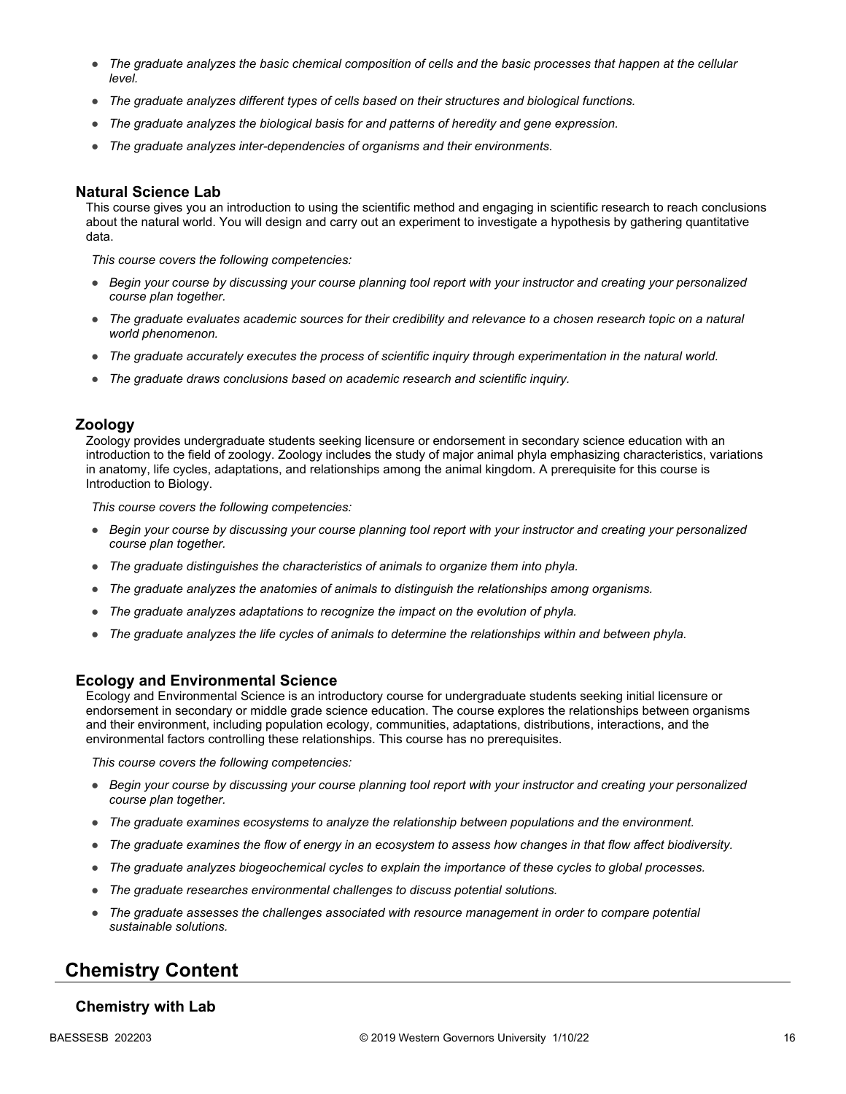- *The graduate analyzes the basic chemical composition of cells and the basic processes that happen at the cellular level.*
- *The graduate analyzes different types of cells based on their structures and biological functions.*
- *The graduate analyzes the biological basis for and patterns of heredity and gene expression.*
- *The graduate analyzes inter-dependencies of organisms and their environments.*

#### **Natural Science Lab**

This course gives you an introduction to using the scientific method and engaging in scientific research to reach conclusions about the natural world. You will design and carry out an experiment to investigate a hypothesis by gathering quantitative data.

*This course covers the following competencies:*

- *Begin your course by discussing your course planning tool report with your instructor and creating your personalized course plan together.*
- *The graduate evaluates academic sources for their credibility and relevance to a chosen research topic on a natural world phenomenon.*
- *The graduate accurately executes the process of scientific inquiry through experimentation in the natural world.*
- *The graduate draws conclusions based on academic research and scientific inquiry.*

#### **Zoology**

Zoology provides undergraduate students seeking licensure or endorsement in secondary science education with an introduction to the field of zoology. Zoology includes the study of major animal phyla emphasizing characteristics, variations in anatomy, life cycles, adaptations, and relationships among the animal kingdom. A prerequisite for this course is Introduction to Biology.

*This course covers the following competencies:*

- *Begin your course by discussing your course planning tool report with your instructor and creating your personalized course plan together.*
- *The graduate distinguishes the characteristics of animals to organize them into phyla.*
- *The graduate analyzes the anatomies of animals to distinguish the relationships among organisms.*
- *The graduate analyzes adaptations to recognize the impact on the evolution of phyla.*
- *The graduate analyzes the life cycles of animals to determine the relationships within and between phyla.*

#### **Ecology and Environmental Science**

Ecology and Environmental Science is an introductory course for undergraduate students seeking initial licensure or endorsement in secondary or middle grade science education. The course explores the relationships between organisms and their environment, including population ecology, communities, adaptations, distributions, interactions, and the environmental factors controlling these relationships. This course has no prerequisites.

*This course covers the following competencies:*

- *Begin your course by discussing your course planning tool report with your instructor and creating your personalized course plan together.*
- *The graduate examines ecosystems to analyze the relationship between populations and the environment.*
- *The graduate examines the flow of energy in an ecosystem to assess how changes in that flow affect biodiversity.*
- *The graduate analyzes biogeochemical cycles to explain the importance of these cycles to global processes.*
- *The graduate researches environmental challenges to discuss potential solutions.*
- *The graduate assesses the challenges associated with resource management in order to compare potential sustainable solutions.*

## **Chemistry Content**

#### **Chemistry with Lab**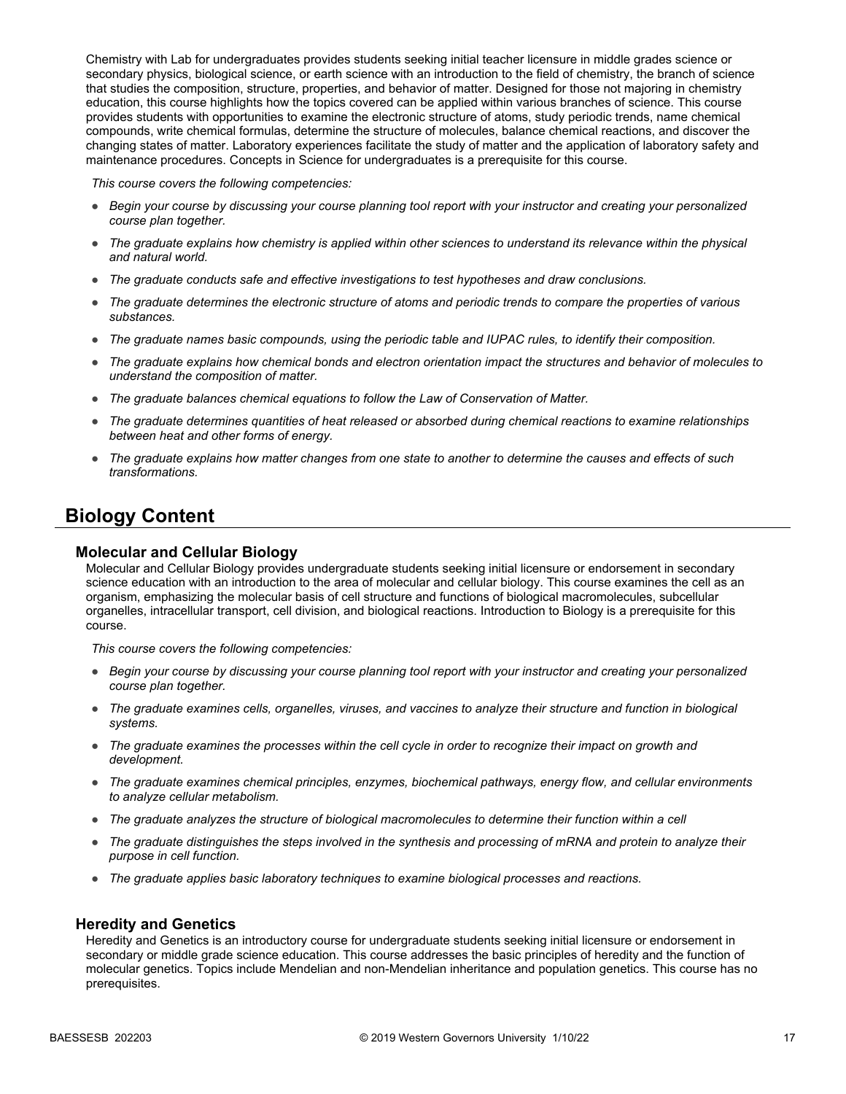Chemistry with Lab for undergraduates provides students seeking initial teacher licensure in middle grades science or secondary physics, biological science, or earth science with an introduction to the field of chemistry, the branch of science that studies the composition, structure, properties, and behavior of matter. Designed for those not majoring in chemistry education, this course highlights how the topics covered can be applied within various branches of science. This course provides students with opportunities to examine the electronic structure of atoms, study periodic trends, name chemical compounds, write chemical formulas, determine the structure of molecules, balance chemical reactions, and discover the changing states of matter. Laboratory experiences facilitate the study of matter and the application of laboratory safety and maintenance procedures. Concepts in Science for undergraduates is a prerequisite for this course.

*This course covers the following competencies:*

- *Begin your course by discussing your course planning tool report with your instructor and creating your personalized course plan together.*
- *The graduate explains how chemistry is applied within other sciences to understand its relevance within the physical and natural world.*
- *The graduate conducts safe and effective investigations to test hypotheses and draw conclusions.*
- *The graduate determines the electronic structure of atoms and periodic trends to compare the properties of various substances.*
- *The graduate names basic compounds, using the periodic table and IUPAC rules, to identify their composition.*
- *The graduate explains how chemical bonds and electron orientation impact the structures and behavior of molecules to understand the composition of matter.*
- *The graduate balances chemical equations to follow the Law of Conservation of Matter.*
- *The graduate determines quantities of heat released or absorbed during chemical reactions to examine relationships between heat and other forms of energy.*
- *The graduate explains how matter changes from one state to another to determine the causes and effects of such transformations.*

### **Biology Content**

#### **Molecular and Cellular Biology**

Molecular and Cellular Biology provides undergraduate students seeking initial licensure or endorsement in secondary science education with an introduction to the area of molecular and cellular biology. This course examines the cell as an organism, emphasizing the molecular basis of cell structure and functions of biological macromolecules, subcellular organelles, intracellular transport, cell division, and biological reactions. Introduction to Biology is a prerequisite for this course.

*This course covers the following competencies:*

- *Begin your course by discussing your course planning tool report with your instructor and creating your personalized course plan together.*
- *The graduate examines cells, organelles, viruses, and vaccines to analyze their structure and function in biological systems.*
- *The graduate examines the processes within the cell cycle in order to recognize their impact on growth and development.*
- *The graduate examines chemical principles, enzymes, biochemical pathways, energy flow, and cellular environments to analyze cellular metabolism.*
- *The graduate analyzes the structure of biological macromolecules to determine their function within a cell*
- *The graduate distinguishes the steps involved in the synthesis and processing of mRNA and protein to analyze their purpose in cell function.*
- *The graduate applies basic laboratory techniques to examine biological processes and reactions.*

#### **Heredity and Genetics**

Heredity and Genetics is an introductory course for undergraduate students seeking initial licensure or endorsement in secondary or middle grade science education. This course addresses the basic principles of heredity and the function of molecular genetics. Topics include Mendelian and non-Mendelian inheritance and population genetics. This course has no prerequisites.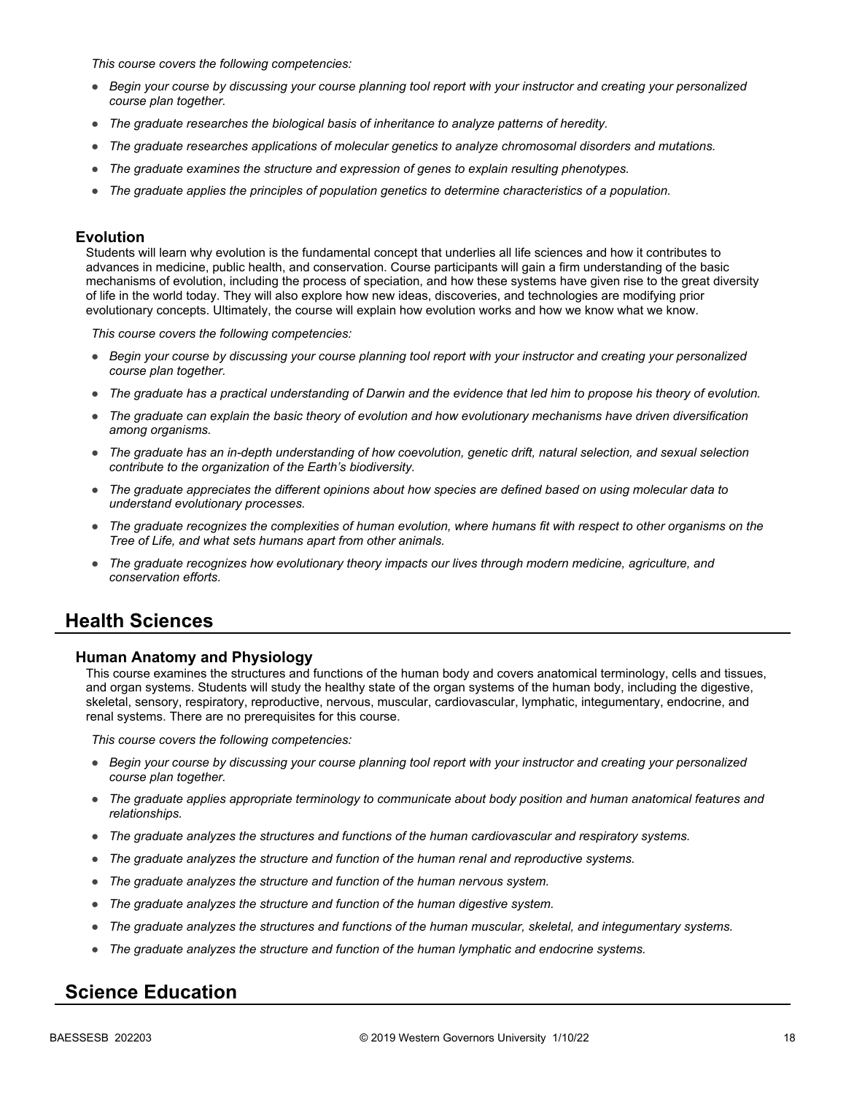*This course covers the following competencies:*

- *Begin your course by discussing your course planning tool report with your instructor and creating your personalized course plan together.*
- *The graduate researches the biological basis of inheritance to analyze patterns of heredity.*
- *The graduate researches applications of molecular genetics to analyze chromosomal disorders and mutations.*
- *The graduate examines the structure and expression of genes to explain resulting phenotypes.*
- *The graduate applies the principles of population genetics to determine characteristics of a population.*

#### **Evolution**

Students will learn why evolution is the fundamental concept that underlies all life sciences and how it contributes to advances in medicine, public health, and conservation. Course participants will gain a firm understanding of the basic mechanisms of evolution, including the process of speciation, and how these systems have given rise to the great diversity of life in the world today. They will also explore how new ideas, discoveries, and technologies are modifying prior evolutionary concepts. Ultimately, the course will explain how evolution works and how we know what we know.

*This course covers the following competencies:*

- *Begin your course by discussing your course planning tool report with your instructor and creating your personalized course plan together.*
- *The graduate has a practical understanding of Darwin and the evidence that led him to propose his theory of evolution.*
- *The graduate can explain the basic theory of evolution and how evolutionary mechanisms have driven diversification among organisms.*
- *The graduate has an in-depth understanding of how coevolution, genetic drift, natural selection, and sexual selection contribute to the organization of the Earth's biodiversity.*
- *The graduate appreciates the different opinions about how species are defined based on using molecular data to understand evolutionary processes.*
- *The graduate recognizes the complexities of human evolution, where humans fit with respect to other organisms on the Tree of Life, and what sets humans apart from other animals.*
- *The graduate recognizes how evolutionary theory impacts our lives through modern medicine, agriculture, and conservation efforts.*

### **Health Sciences**

#### **Human Anatomy and Physiology**

This course examines the structures and functions of the human body and covers anatomical terminology, cells and tissues, and organ systems. Students will study the healthy state of the organ systems of the human body, including the digestive, skeletal, sensory, respiratory, reproductive, nervous, muscular, cardiovascular, lymphatic, integumentary, endocrine, and renal systems. There are no prerequisites for this course.

*This course covers the following competencies:*

- *Begin your course by discussing your course planning tool report with your instructor and creating your personalized course plan together.*
- *The graduate applies appropriate terminology to communicate about body position and human anatomical features and relationships.*
- *The graduate analyzes the structures and functions of the human cardiovascular and respiratory systems.*
- *The graduate analyzes the structure and function of the human renal and reproductive systems.*
- *The graduate analyzes the structure and function of the human nervous system.*
- *The graduate analyzes the structure and function of the human digestive system.*
- *The graduate analyzes the structures and functions of the human muscular, skeletal, and integumentary systems.*
- *The graduate analyzes the structure and function of the human lymphatic and endocrine systems.*

### **Science Education**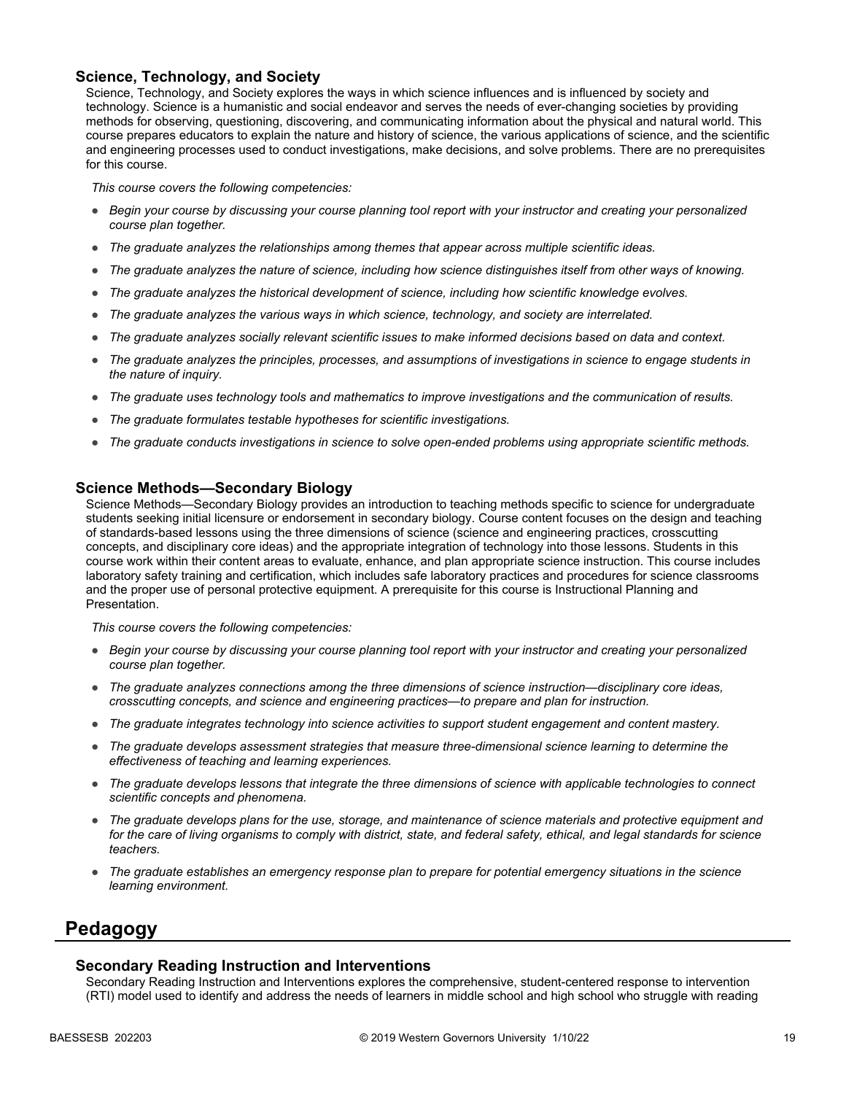### **Science, Technology, and Society**

Science, Technology, and Society explores the ways in which science influences and is influenced by society and technology. Science is a humanistic and social endeavor and serves the needs of ever-changing societies by providing methods for observing, questioning, discovering, and communicating information about the physical and natural world. This course prepares educators to explain the nature and history of science, the various applications of science, and the scientific and engineering processes used to conduct investigations, make decisions, and solve problems. There are no prerequisites for this course.

*This course covers the following competencies:*

- *Begin your course by discussing your course planning tool report with your instructor and creating your personalized course plan together.*
- *The graduate analyzes the relationships among themes that appear across multiple scientific ideas.*
- *The graduate analyzes the nature of science, including how science distinguishes itself from other ways of knowing.*
- *The graduate analyzes the historical development of science, including how scientific knowledge evolves.*
- *The graduate analyzes the various ways in which science, technology, and society are interrelated.*
- *The graduate analyzes socially relevant scientific issues to make informed decisions based on data and context.*
- *The graduate analyzes the principles, processes, and assumptions of investigations in science to engage students in the nature of inquiry.*
- *The graduate uses technology tools and mathematics to improve investigations and the communication of results.*
- *The graduate formulates testable hypotheses for scientific investigations.*
- *The graduate conducts investigations in science to solve open-ended problems using appropriate scientific methods.*

#### **Science Methods—Secondary Biology**

Science Methods—Secondary Biology provides an introduction to teaching methods specific to science for undergraduate students seeking initial licensure or endorsement in secondary biology. Course content focuses on the design and teaching of standards-based lessons using the three dimensions of science (science and engineering practices, crosscutting concepts, and disciplinary core ideas) and the appropriate integration of technology into those lessons. Students in this course work within their content areas to evaluate, enhance, and plan appropriate science instruction. This course includes laboratory safety training and certification, which includes safe laboratory practices and procedures for science classrooms and the proper use of personal protective equipment. A prerequisite for this course is Instructional Planning and Presentation.

*This course covers the following competencies:*

- *Begin your course by discussing your course planning tool report with your instructor and creating your personalized course plan together.*
- *The graduate analyzes connections among the three dimensions of science instruction—disciplinary core ideas, crosscutting concepts, and science and engineering practices—to prepare and plan for instruction.*
- *The graduate integrates technology into science activities to support student engagement and content mastery.*
- *The graduate develops assessment strategies that measure three-dimensional science learning to determine the effectiveness of teaching and learning experiences.*
- *The graduate develops lessons that integrate the three dimensions of science with applicable technologies to connect scientific concepts and phenomena.*
- *The graduate develops plans for the use, storage, and maintenance of science materials and protective equipment and for the care of living organisms to comply with district, state, and federal safety, ethical, and legal standards for science teachers.*
- *The graduate establishes an emergency response plan to prepare for potential emergency situations in the science learning environment.*

### **Pedagogy**

#### **Secondary Reading Instruction and Interventions**

Secondary Reading Instruction and Interventions explores the comprehensive, student-centered response to intervention (RTI) model used to identify and address the needs of learners in middle school and high school who struggle with reading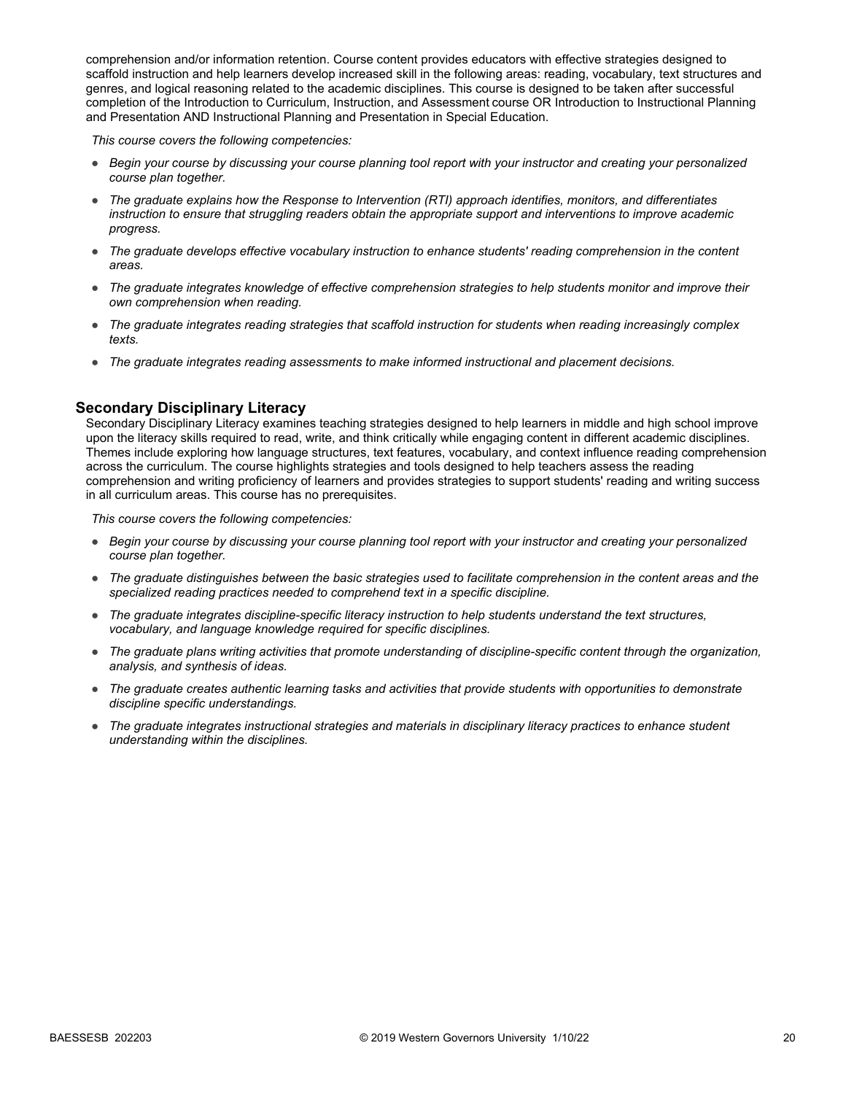comprehension and/or information retention. Course content provides educators with effective strategies designed to scaffold instruction and help learners develop increased skill in the following areas: reading, vocabulary, text structures and genres, and logical reasoning related to the academic disciplines. This course is designed to be taken after successful completion of the Introduction to Curriculum, Instruction, and Assessment course OR Introduction to Instructional Planning and Presentation AND Instructional Planning and Presentation in Special Education.

*This course covers the following competencies:*

- *Begin your course by discussing your course planning tool report with your instructor and creating your personalized course plan together.*
- *The graduate explains how the Response to Intervention (RTI) approach identifies, monitors, and differentiates instruction to ensure that struggling readers obtain the appropriate support and interventions to improve academic progress.*
- *The graduate develops effective vocabulary instruction to enhance students' reading comprehension in the content areas.*
- *The graduate integrates knowledge of effective comprehension strategies to help students monitor and improve their own comprehension when reading.*
- *The graduate integrates reading strategies that scaffold instruction for students when reading increasingly complex texts.*
- *The graduate integrates reading assessments to make informed instructional and placement decisions.*

#### **Secondary Disciplinary Literacy**

Secondary Disciplinary Literacy examines teaching strategies designed to help learners in middle and high school improve upon the literacy skills required to read, write, and think critically while engaging content in different academic disciplines. Themes include exploring how language structures, text features, vocabulary, and context influence reading comprehension across the curriculum. The course highlights strategies and tools designed to help teachers assess the reading comprehension and writing proficiency of learners and provides strategies to support students' reading and writing success in all curriculum areas. This course has no prerequisites.

- *Begin your course by discussing your course planning tool report with your instructor and creating your personalized course plan together.*
- *The graduate distinguishes between the basic strategies used to facilitate comprehension in the content areas and the specialized reading practices needed to comprehend text in a specific discipline.*
- *The graduate integrates discipline-specific literacy instruction to help students understand the text structures, vocabulary, and language knowledge required for specific disciplines.*
- *The graduate plans writing activities that promote understanding of discipline-specific content through the organization, analysis, and synthesis of ideas.*
- *The graduate creates authentic learning tasks and activities that provide students with opportunities to demonstrate discipline specific understandings.*
- *The graduate integrates instructional strategies and materials in disciplinary literacy practices to enhance student understanding within the disciplines.*